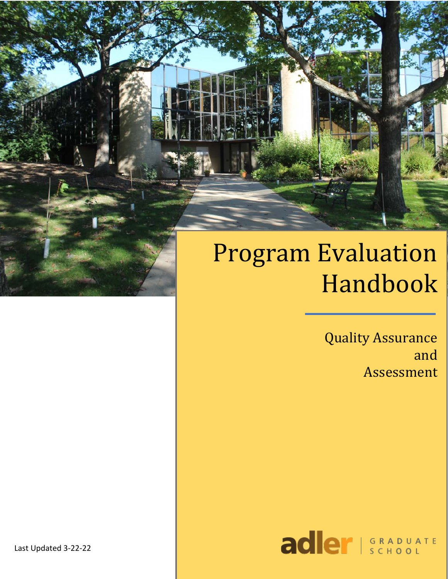# Program Evaluation Handbook

**Quality Assurance** and Assessment



Last Updated 3-22-22

f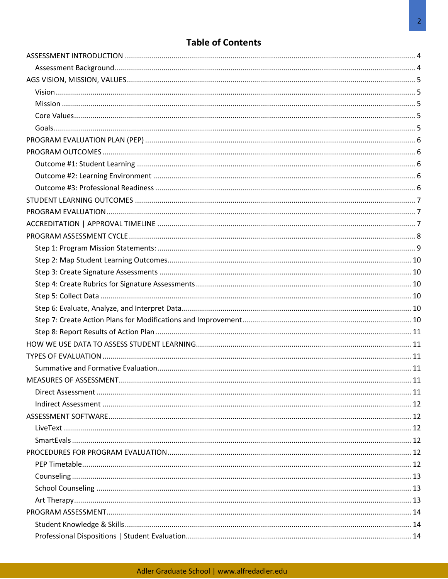# **Table of Contents**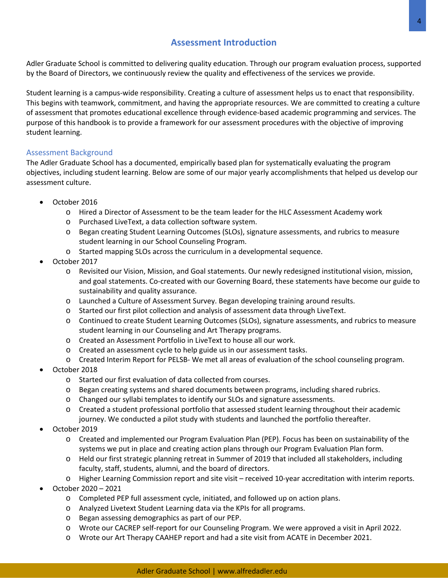# **Assessment Introduction**

Adler Graduate School is committed to delivering quality education. Through our program evaluation process, supported by the Board of Directors, we continuously review the quality and effectiveness of the services we provide.

Student learning is a campus-wide responsibility. Creating a culture of assessment helps us to enact that responsibility. This begins with teamwork, commitment, and having the appropriate resources. We are committed to creating a culture of assessment that promotes educational excellence through evidence-based academic programming and services. The purpose of this handbook is to provide a framework for our assessment procedures with the objective of improving student learning.

## Assessment Background

The Adler Graduate School has a documented, empirically based plan for systematically evaluating the program objectives, including student learning. Below are some of our major yearly accomplishments that helped us develop our assessment culture.

- October 2016
	- o Hired a Director of Assessment to be the team leader for the HLC Assessment Academy work
	- o Purchased LiveText, a data collection software system.
	- o Began creating Student Learning Outcomes (SLOs), signature assessments, and rubrics to measure student learning in our School Counseling Program.
	- o Started mapping SLOs across the curriculum in a developmental sequence.
- October 2017
	- o Revisited our Vision, Mission, and Goal statements. Our newly redesigned institutional vision, mission, and goal statements. Co-created with our Governing Board, these statements have become our guide to sustainability and quality assurance.
	- o Launched a Culture of Assessment Survey. Began developing training around results.
	- o Started our first pilot collection and analysis of assessment data through LiveText.
	- o Continued to create Student Learning Outcomes (SLOs), signature assessments, and rubrics to measure student learning in our Counseling and Art Therapy programs.
	- o Created an Assessment Portfolio in LiveText to house all our work.
	- o Created an assessment cycle to help guide us in our assessment tasks.
	- o Created Interim Report for PELSB- We met all areas of evaluation of the school counseling program.
- October 2018
	- o Started our first evaluation of data collected from courses.
	- o Began creating systems and shared documents between programs, including shared rubrics.
	- o Changed our syllabi templates to identify our SLOs and signature assessments.
	- o Created a student professional portfolio that assessed student learning throughout their academic journey. We conducted a pilot study with students and launched the portfolio thereafter.
- October 2019
	- o Created and implemented our Program Evaluation Plan (PEP). Focus has been on sustainability of the systems we put in place and creating action plans through our Program Evaluation Plan form.
	- o Held our first strategic planning retreat in Summer of 2019 that included all stakeholders, including faculty, staff, students, alumni, and the board of directors.
	- o Higher Learning Commission report and site visit received 10-year accreditation with interim reports.
- October 2020 2021
	- o Completed PEP full assessment cycle, initiated, and followed up on action plans.
	- o Analyzed Livetext Student Learning data via the KPIs for all programs.
	- o Began assessing demographics as part of our PEP.
	- o Wrote our CACREP self-report for our Counseling Program. We were approved a visit in April 2022.
	- o Wrote our Art Therapy CAAHEP report and had a site visit from ACATE in December 2021.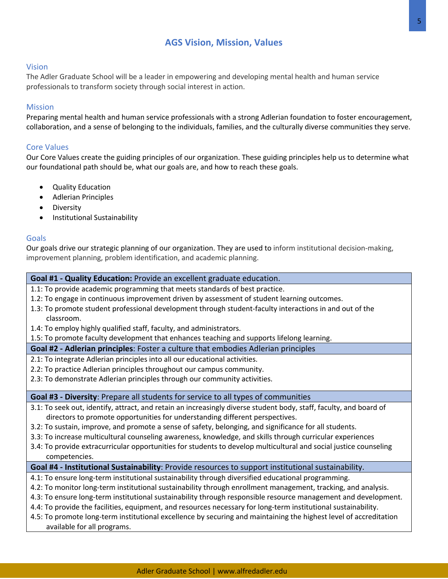# **AGS Vision, Mission, Values**

#### Vision

The Adler Graduate School will be a leader in empowering and developing mental health and human service professionals to transform society through social interest in action.

#### Mission

Preparing mental health and human service professionals with a strong Adlerian foundation to foster encouragement, collaboration, and a sense of belonging to the individuals, families, and the culturally diverse communities they serve.

#### Core Values

Our Core Values create the guiding principles of our organization. These guiding principles help us to determine what our foundational path should be, what our goals are, and how to reach these goals.

- Quality Education
- Adlerian Principles
- Diversity
- Institutional Sustainability

#### Goals

Our goals drive our strategic planning of our organization. They are used to inform institutional decision-making, improvement planning, problem identification, and academic planning.

#### **Goal #1 - Quality Education:** Provide an excellent graduate education.

- 1.1: To provide academic programming that meets standards of best practice.
- 1.2: To engage in continuous improvement driven by assessment of student learning outcomes.
- 1.3: To promote student professional development through student-faculty interactions in and out of the classroom.
- 1.4: To employ highly qualified staff, faculty, and administrators.

1.5: To promote faculty development that enhances teaching and supports lifelong learning.

#### **Goal #2 - Adlerian principles**: Foster a culture that embodies Adlerian principles

- 2.1: To integrate Adlerian principles into all our educational activities.
- 2.2: To practice Adlerian principles throughout our campus community.
- 2.3: To demonstrate Adlerian principles through our community activities.

#### **Goal #3 - Diversity**: Prepare all students for service to all types of communities

- 3.1: To seek out, identify, attract, and retain an increasingly diverse student body, staff, faculty, and board of directors to promote opportunities for understanding different perspectives.
- 3.2: To sustain, improve, and promote a sense of safety, belonging, and significance for all students.
- 3.3: To increase multicultural counseling awareness, knowledge, and skills through curricular experiences
- 3.4: To provide extracurricular opportunities for students to develop multicultural and social justice counseling competencies.

#### **Goal #4 - Institutional Sustainability**: Provide resources to support institutional sustainability.

- 4.1: To ensure long-term institutional sustainability through diversified educational programming.
- 4.2: To monitor long-term institutional sustainability through enrollment management, tracking, and analysis.
- 4.3: To ensure long-term institutional sustainability through responsible resource management and development.
- 4.4: To provide the facilities, equipment, and resources necessary for long-term institutional sustainability.
- 4.5: To promote long-term institutional excellence by securing and maintaining the highest level of accreditation available for all programs.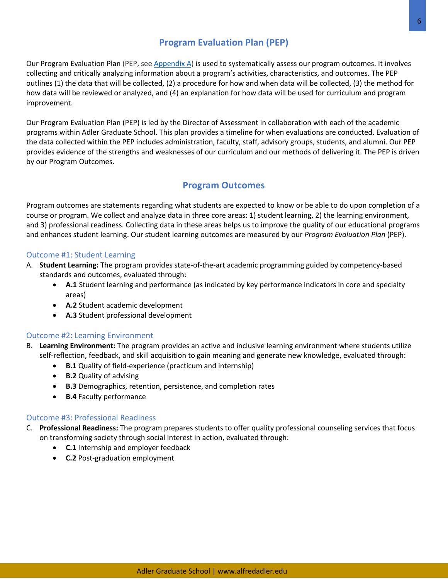# **Program Evaluation Plan (PEP)**

Our Program Evaluation Plan (PEP, see Appendix A) is used to systematically assess our program outcomes. It involves collecting and critically analyzing information about a program's activities, characteristics, and outcomes. The PEP outlines (1) the data that will be collected, (2) a procedure for how and when data will be collected, (3) the method for how data will be reviewed or analyzed, and (4) an explanation for how data will be used for curriculum and program improvement.

Our Program Evaluation Plan (PEP) is led by the Director of Assessment in collaboration with each of the academic programs within Adler Graduate School. This plan provides a timeline for when evaluations are conducted. Evaluation of the data collected within the PEP includes administration, faculty, staff, advisory groups, students, and alumni. Our PEP provides evidence of the strengths and weaknesses of our curriculum and our methods of delivering it. The PEP is driven by our Program Outcomes.

## **Program Outcomes**

Program outcomes are statements regarding what students are expected to know or be able to do upon completion of a course or program. We collect and analyze data in three core areas: 1) student learning, 2) the learning environment, and 3) professional readiness. Collecting data in these areas helps us to improve the quality of our educational programs and enhances student learning. Our student learning outcomes are measured by our *Program Evaluation Plan* (PEP).

## Outcome #1: Student Learning

- A. **Student Learning:** The program provides state-of-the-art academic programming guided by competency-based standards and outcomes, evaluated through:
	- **A.1** Student learning and performance (as indicated by key performance indicators in core and specialty areas)
	- **A.2** Student academic development
	- **A.3** Student professional development

## Outcome #2: Learning Environment

- B. **Learning Environment:** The program provides an active and inclusive learning environment where students utilize self-reflection, feedback, and skill acquisition to gain meaning and generate new knowledge, evaluated through:
	- **B.1** Quality of field-experience (practicum and internship)
	- **B.2** Quality of advising
	- **B.3** Demographics, retention, persistence, and completion rates
	- **B.4** Faculty performance

## Outcome #3: Professional Readiness

- C. **Professional Readiness:** The program prepares students to offer quality professional counseling services that focus on transforming society through social interest in action, evaluated through:
	- **C.1** Internship and employer feedback
	- **C.2** Post-graduation employment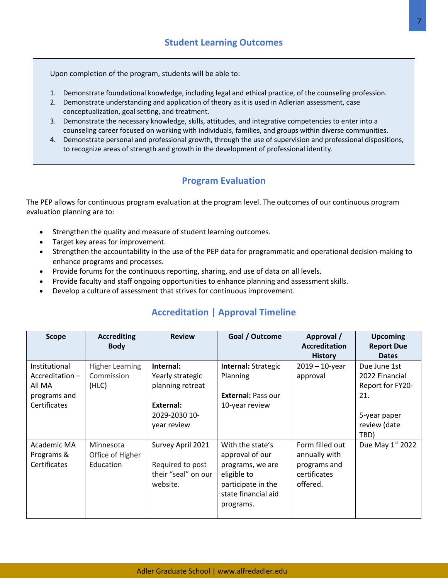Upon completion of the program, students will be able to:

- 1. Demonstrate foundational knowledge, including legal and ethical practice, of the counseling profession.
- 2. Demonstrate understanding and application of theory as it is used in Adlerian assessment, case conceptualization, goal setting, and treatment.
- 3. Demonstrate the necessary knowledge, skills, attitudes, and integrative competencies to enter into a counseling career focused on working with individuals, families, and groups within diverse communities.
- 4. Demonstrate personal and professional growth, through the use of supervision and professional dispositions, to recognize areas of strength and growth in the development of professional identity.

## **Program Evaluation**

The PEP allows for continuous program evaluation at the program level. The outcomes of our continuous program evaluation planning are to:

- Strengthen the quality and measure of student learning outcomes.
- Target key areas for improvement.
- Strengthen the accountability in the use of the PEP data for programmatic and operational decision-making to enhance programs and processes.
- Provide forums for the continuous reporting, sharing, and use of data on all levels.
- Provide faculty and staff ongoing opportunities to enhance planning and assessment skills.
- Develop a culture of assessment that strives for continuous improvement.

| <b>Scope</b>                                                                 | <b>Accrediting</b><br><b>Body</b>             | <b>Review</b>                                                                                  | Goal / Outcome                                                                                                                   | Approval /<br><b>Accreditation</b><br><b>History</b>                         | <b>Upcoming</b><br><b>Report Due</b><br><b>Dates</b>                                              |
|------------------------------------------------------------------------------|-----------------------------------------------|------------------------------------------------------------------------------------------------|----------------------------------------------------------------------------------------------------------------------------------|------------------------------------------------------------------------------|---------------------------------------------------------------------------------------------------|
| Institutional<br>$Accreditation -$<br>All MA<br>programs and<br>Certificates | <b>Higher Learning</b><br>Commission<br>(HLC) | Internal:<br>Yearly strategic<br>planning retreat<br>External:<br>2029-2030 10-<br>year review | Internal: Strategic<br>Planning<br><b>External: Pass our</b><br>10-year review                                                   | $2019 - 10$ -year<br>approval                                                | Due June 1st<br>2022 Financial<br>Report for FY20-<br>21.<br>5-year paper<br>review (date<br>TBD) |
| Academic MA<br>Programs &<br>Certificates                                    | Minnesota<br>Office of Higher<br>Education    | Survey April 2021<br>Required to post<br>their "seal" on our<br>website.                       | With the state's<br>approval of our<br>programs, we are<br>eligible to<br>participate in the<br>state financial aid<br>programs. | Form filled out<br>annually with<br>programs and<br>certificates<br>offered. | Due May 1st 2022                                                                                  |

# **Accreditation | Approval Timeline**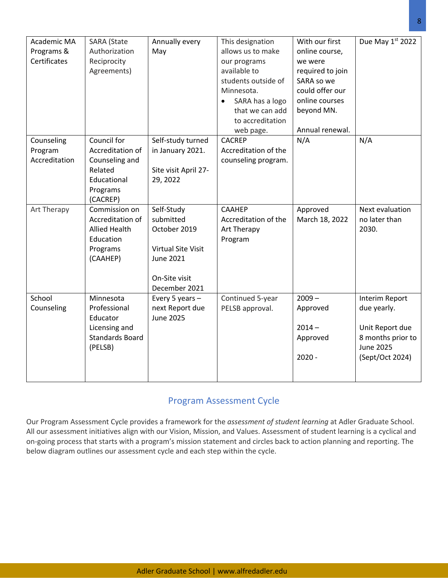| Academic MA<br>Programs &<br>Certificates | <b>SARA</b> (State<br>Authorization<br>Reciprocity<br>Agreements)                                   | Annually every<br>May                                                                                               | This designation<br>allows us to make<br>our programs<br>available to<br>students outside of<br>Minnesota.<br>SARA has a logo<br>$\bullet$<br>that we can add<br>to accreditation<br>web page. | With our first<br>online course,<br>we were<br>required to join<br>SARA so we<br>could offer our<br>online courses<br>beyond MN.<br>Annual renewal. | Due May 1st 2022                                                                                             |
|-------------------------------------------|-----------------------------------------------------------------------------------------------------|---------------------------------------------------------------------------------------------------------------------|------------------------------------------------------------------------------------------------------------------------------------------------------------------------------------------------|-----------------------------------------------------------------------------------------------------------------------------------------------------|--------------------------------------------------------------------------------------------------------------|
| Counseling<br>Program<br>Accreditation    | Council for<br>Accreditation of<br>Counseling and<br>Related<br>Educational<br>Programs<br>(CACREP) | Self-study turned<br>in January 2021.<br>Site visit April 27-<br>29, 2022                                           | <b>CACREP</b><br>Accreditation of the<br>counseling program.                                                                                                                                   | N/A                                                                                                                                                 | N/A                                                                                                          |
| Art Therapy                               | Commission on<br>Accreditation of<br><b>Allied Health</b><br>Education<br>Programs<br>(CAAHEP)      | Self-Study<br>submitted<br>October 2019<br><b>Virtual Site Visit</b><br>June 2021<br>On-Site visit<br>December 2021 | CAAHEP<br>Accreditation of the<br>Art Therapy<br>Program                                                                                                                                       | Approved<br>March 18, 2022                                                                                                                          | Next evaluation<br>no later than<br>2030.                                                                    |
| School<br>Counseling                      | Minnesota<br>Professional<br>Educator<br>Licensing and<br><b>Standards Board</b><br>(PELSB)         | Every 5 years -<br>next Report due<br><b>June 2025</b>                                                              | Continued 5-year<br>PELSB approval.                                                                                                                                                            | $2009 -$<br>Approved<br>$2014 -$<br>Approved<br>$2020 -$                                                                                            | Interim Report<br>due yearly.<br>Unit Report due<br>8 months prior to<br><b>June 2025</b><br>(Sept/Oct 2024) |

# Program Assessment Cycle

Our Program Assessment Cycle provides a framework for the *assessment of student learning* at Adler Graduate School. All our assessment initiatives align with our Vision, Mission, and Values. Assessment of student learning is a cyclical and on-going process that starts with a program's mission statement and circles back to action planning and reporting. The below diagram outlines our assessment cycle and each step within the cycle.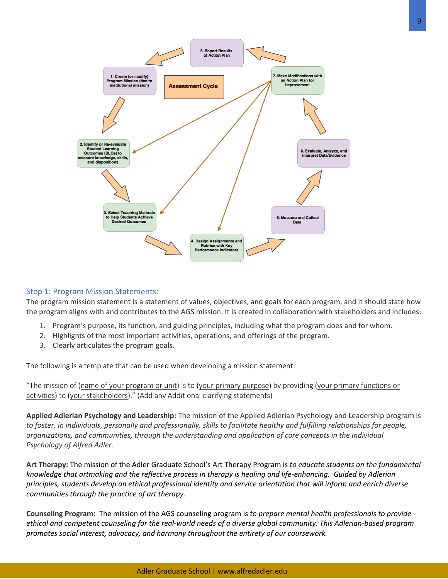

## Step 1: Program Mission Statements:

The program mission statement is a statement of values, objectives, and goals for each program, and it should state how the program aligns with and contributes to the AGS mission. It is created in collaboration with stakeholders and includes:

- 1. Program's purpose, its function, and guiding principles, including what the program does and for whom.
- 2. Highlights of the most important activities, operations, and offerings of the program.
- 3. Clearly articulates the program goals.

The following is a template that can be used when developing a mission statement:

"The mission of (name of your program or unit) is to (your primary purpose) by providing (your primary functions or activities) to (your stakeholders)." (Add any Additional clarifying statements)

**Applied Adlerian Psychology and Leadership:** The mission of the Applied Adlerian Psychology and Leadership program is *to foster, in individuals, personally and professionally, skills to facilitate healthy and fulfilling relationships for people, organizations, and communities, through the understanding and application of core concepts in the Individual Psychology of Alfred Adler.*

**Art Therapy:** The mission of the Adler Graduate School's Art Therapy Program is *to educate students on the fundamental knowledge that artmaking and the reflective process in therapy is healing and life-enhancing. Guided by Adlerian principles, students develop an ethical professional identity and service orientation that will inform and enrich diverse communities through the practice of art therapy.*

**Counseling Program:** The mission of the AGS counseling program is *to prepare mental health professionals to provide ethical and competent counseling for the real-world needs of a diverse global community*. *This Adlerian-based program promotes social interest, advocacy, and harmony throughout the entirety of our coursework.*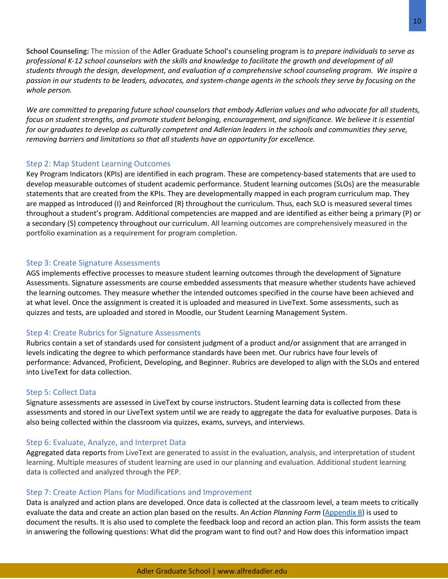**School Counseling:** The mission of the Adler Graduate School's counseling program is *to prepare individuals to serve as professional K-12 school counselors with the skills and knowledge to facilitate the growth and development of all students through the design, development, and evaluation of a comprehensive school counseling program. We inspire a passion in our students to be leaders, advocates, and system-change agents in the schools they serve by focusing on the whole person.*

*We are committed to preparing future school counselors that embody Adlerian values and who advocate for all students, focus on student strengths, and promote student belonging, encouragement, and significance. We believe it is essential for our graduates to develop as culturally competent and Adlerian leaders in the schools and communities they serve, removing barriers and limitations so that all students have an opportunity for excellence.*

## Step 2: Map Student Learning Outcomes

Key Program Indicators (KPIs) are identified in each program. These are competency-based statements that are used to develop measurable outcomes of student academic performance. Student learning outcomes (SLOs) are the measurable statements that are created from the KPIs. They are developmentally mapped in each program curriculum map. They are mapped as Introduced (I) and Reinforced (R) throughout the curriculum. Thus, each SLO is measured several times throughout a student's program. Additional competencies are mapped and are identified as either being a primary (P) or a secondary (S) competency throughout our curriculum. All learning outcomes are comprehensively measured in the portfolio examination as a requirement for program completion.

## Step 3: Create Signature Assessments

AGS implements effective processes to measure student learning outcomes through the development of Signature Assessments. Signature assessments are course embedded assessments that measure whether students have achieved the learning outcomes. They measure whether the intended outcomes specified in the course have been achieved and at what level. Once the assignment is created it is uploaded and measured in LiveText. Some assessments, such as quizzes and tests, are uploaded and stored in Moodle, our Student Learning Management System.

#### Step 4: Create Rubrics for Signature Assessments

Rubrics contain a set of standards used for consistent judgment of a product and/or assignment that are arranged in levels indicating the degree to which performance standards have been met. Our rubrics have four levels of performance: Advanced, Proficient, Developing, and Beginner. Rubrics are developed to align with the SLOs and entered into LiveText for data collection.

#### Step 5: Collect Data

Signature assessments are assessed in LiveText by course instructors. Student learning data is collected from these assessments and stored in our LiveText system until we are ready to aggregate the data for evaluative purposes. Data is also being collected within the classroom via quizzes, exams, surveys, and interviews.

#### Step 6: Evaluate, Analyze, and Interpret Data

Aggregated data reports from LiveText are generated to assist in the evaluation, analysis, and interpretation of student learning. Multiple measures of student learning are used in our planning and evaluation. Additional student learning data is collected and analyzed through the PEP.

#### Step 7: Create Action Plans for Modifications and Improvement

Data is analyzed and action plans are developed. Once data is collected at the classroom level, a team meets to critically evaluate the data and create an action plan based on the results. An *Action Planning Form* (Appendix B) is used to document the results. It is also used to complete the feedback loop and record an action plan. This form assists the team in answering the following questions: What did the program want to find out? and How does this information impact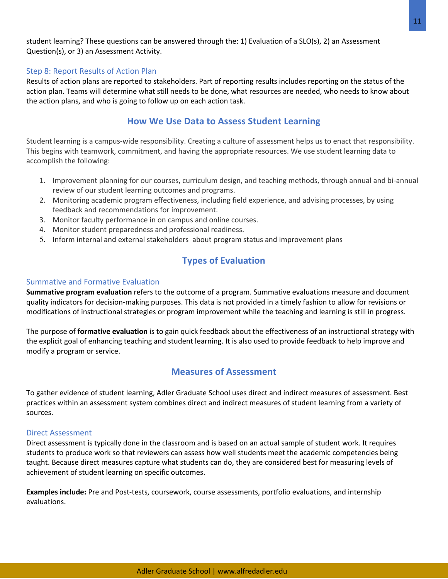student learning? These questions can be answered through the: 1) Evaluation of a SLO(s), 2) an Assessment Question(s), or 3) an Assessment Activity.

## Step 8: Report Results of Action Plan

Results of action plans are reported to stakeholders. Part of reporting results includes reporting on the status of the action plan. Teams will determine what still needs to be done, what resources are needed, who needs to know about the action plans, and who is going to follow up on each action task.

## **How We Use Data to Assess Student Learning**

Student learning is a campus-wide responsibility. Creating a culture of assessment helps us to enact that responsibility. This begins with teamwork, commitment, and having the appropriate resources. We use student learning data to accomplish the following:

- 1. Improvement planning for our courses, curriculum design, and teaching methods, through annual and bi-annual review of our student learning outcomes and programs.
- 2. Monitoring academic program effectiveness, including field experience, and advising processes, by using feedback and recommendations for improvement.
- 3. Monitor faculty performance in on campus and online courses.
- 4. Monitor student preparedness and professional readiness.
- 5. Inform internal and external stakeholders about program status and improvement plans

# **Types of Evaluation**

#### Summative and Formative Evaluation

**Summative program evaluation** refers to the outcome of a program. Summative evaluations measure and document quality indicators for decision-making purposes. This data is not provided in a timely fashion to allow for revisions or modifications of instructional strategies or program improvement while the teaching and learning is still in progress.

The purpose of **formative evaluation** is to gain quick feedback about the effectiveness of an instructional strategy with the explicit goal of enhancing teaching and student learning. It is also used to provide feedback to help improve and modify a program or service.

## **Measures of Assessment**

To gather evidence of student learning, Adler Graduate School uses direct and indirect measures of assessment. Best practices within an assessment system combines direct and indirect measures of student learning from a variety of sources.

#### Direct Assessment

Direct assessment is typically done in the classroom and is based on an actual sample of student work. It requires students to produce work so that reviewers can assess how well students meet the academic competencies being taught. Because direct measures capture what students can do, they are considered best for measuring levels of achievement of student learning on specific outcomes.

**Examples include:** Pre and Post-tests, coursework, course assessments, portfolio evaluations, and internship evaluations.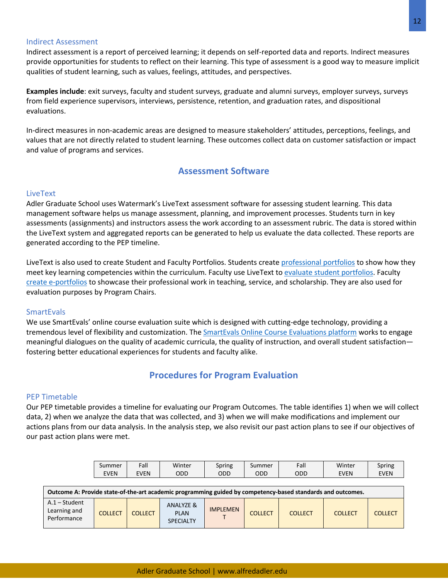#### Indirect Assessment

Indirect assessment is a report of perceived learning; it depends on self-reported data and reports. Indirect measures provide opportunities for students to reflect on their learning. This type of assessment is a good way to measure implicit qualities of student learning, such as values, feelings, attitudes, and perspectives.

**Examples include**: exit surveys, faculty and student surveys, graduate and alumni surveys, employer surveys, surveys from field experience supervisors, interviews, persistence, retention, and graduation rates, and dispositional evaluations.

In-direct measures in non-academic areas are designed to measure stakeholders' attitudes, perceptions, feelings, and values that are not directly related to student learning. These outcomes collect data on customer satisfaction or impact and value of programs and services.

## **Assessment Software**

## LiveText

Adler Graduate School uses Watermark's LiveText assessment software for assessing student learning. This data management software helps us manage assessment, planning, and improvement processes. Students turn in key assessments (assignments) and instructors assess the work according to an assessment rubric. The data is stored within the LiveText system and aggregated reports can be generated to help us evaluate the data collected. These reports are generated according to the PEP timeline.

LiveText is also used to create Student and Faculty Portfolios. Students create professional portfolios to show how they meet key learning competencies within the curriculum. Faculty use LiveText to evaluate student portfolios. Faculty create e-portfolios to showcase their professional work in teaching, service, and scholarship. They are also used for evaluation purposes by Program Chairs.

#### **SmartEvals**

We use SmartEvals' online course evaluation suite which is designed with cutting-edge technology, providing a tremendous level of flexibility and customization. The **SmartEvals Online Course Evaluations platform** works to engage meaningful dialogues on the quality of academic curricula, the quality of instruction, and overall student satisfaction fostering better educational experiences for students and faculty alike.

## **Procedures for Program Evaluation**

#### PEP Timetable

Our PEP timetable provides a timeline for evaluating our Program Outcomes. The table identifies 1) when we will collect data, 2) when we analyze the data that was collected, and 3) when we will make modifications and implement our actions plans from our data analysis. In the analysis step, we also revisit our past action plans to see if our objectives of our past action plans were met.

| Summer | ∶all | Winter | Spring | Summer | Fall | Winter      | Spring      |
|--------|------|--------|--------|--------|------|-------------|-------------|
| EVEN   | EVEN | ODD    | ODD    | ODD    | ODD  | <b>EVEN</b> | <b>EVEN</b> |

| Outcome A: Provide state-of-the-art academic programming guided by competency-based standards and outcomes. |         |                |                                                         |                 |                |                |                |                |
|-------------------------------------------------------------------------------------------------------------|---------|----------------|---------------------------------------------------------|-----------------|----------------|----------------|----------------|----------------|
| $A.1 - Student$<br>Learning and<br>Performance                                                              | COLLECT | <b>COLLECT</b> | <b>ANALYZE &amp;</b><br><b>PLAN</b><br><b>SPECIALTY</b> | <b>IMPLEMEN</b> | <b>COLLECT</b> | <b>COLLECT</b> | <b>COLLECT</b> | <b>COLLECT</b> |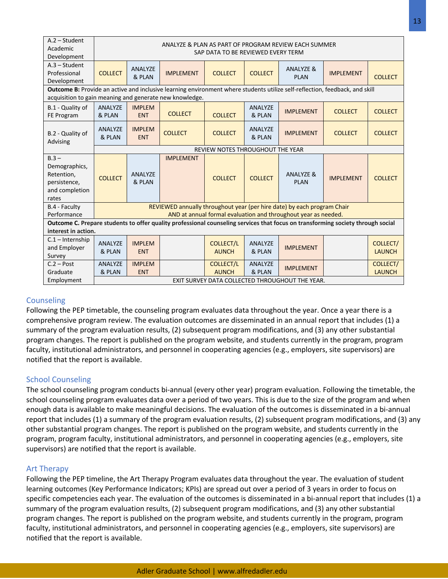| $A.2 - Student$<br>Academic<br>Development                                                                                                             | ANALYZE & PLAN AS PART OF PROGRAM REVIEW EACH SUMMER<br>SAP DATA TO BE REVIEWED EVERY TERM                                                                                             |                                                 |                  |                                  |                          |                                                                         |                  |                                  |
|--------------------------------------------------------------------------------------------------------------------------------------------------------|----------------------------------------------------------------------------------------------------------------------------------------------------------------------------------------|-------------------------------------------------|------------------|----------------------------------|--------------------------|-------------------------------------------------------------------------|------------------|----------------------------------|
| $A.3 - Student$<br>Professional<br>Development                                                                                                         | <b>COLLECT</b>                                                                                                                                                                         | ANALYZE<br>& PLAN                               | <b>IMPLEMENT</b> | <b>COLLECT</b>                   | <b>COLLECT</b>           | <b>ANALYZE &amp;</b><br><b>PLAN</b>                                     | <b>IMPLEMENT</b> | <b>COLLECT</b>                   |
|                                                                                                                                                        | Outcome B: Provide an active and inclusive learning environment where students utilize self-reflection, feedback, and skill<br>acquisition to gain meaning and generate new knowledge. |                                                 |                  |                                  |                          |                                                                         |                  |                                  |
| B.1 - Quality of<br>FE Program                                                                                                                         | ANALYZE<br>& PLAN                                                                                                                                                                      | <b>IMPLEM</b><br><b>ENT</b>                     | <b>COLLECT</b>   | <b>COLLECT</b>                   | <b>ANALYZE</b><br>& PLAN | <b>IMPLEMENT</b>                                                        | <b>COLLECT</b>   | <b>COLLECT</b>                   |
| B.2 - Quality of<br>Advising                                                                                                                           | ANALYZE<br>& PLAN                                                                                                                                                                      | <b>IMPLEM</b><br><b>ENT</b>                     | <b>COLLECT</b>   | <b>COLLECT</b>                   | ANALYZE<br>& PLAN        | <b>IMPLEMENT</b>                                                        | <b>COLLECT</b>   | <b>COLLECT</b>                   |
|                                                                                                                                                        |                                                                                                                                                                                        |                                                 |                  | REVIEW NOTES THROUGHOUT THE YEAR |                          |                                                                         |                  |                                  |
| $B.3 -$<br>Demographics,<br>Retention.<br>persistence,<br>and completion<br>rates                                                                      | <b>COLLECT</b>                                                                                                                                                                         | ANALYZE<br>& PLAN                               | <b>IMPLEMENT</b> | <b>COLLECT</b>                   | <b>COLLECT</b>           | <b>ANALYZE &amp;</b><br><b>PLAN</b>                                     | <b>IMPLEMENT</b> | <b>COLLECT</b>                   |
| B.4 - Faculty                                                                                                                                          |                                                                                                                                                                                        |                                                 |                  |                                  |                          | REVIEWED annually throughout year (per hire date) by each program Chair |                  |                                  |
| Performance                                                                                                                                            |                                                                                                                                                                                        |                                                 |                  |                                  |                          | AND at annual formal evaluation and throughout year as needed.          |                  |                                  |
| Outcome C. Prepare students to offer quality professional counseling services that focus on transforming society through social<br>interest in action. |                                                                                                                                                                                        |                                                 |                  |                                  |                          |                                                                         |                  |                                  |
| $C.1$ – Internship<br>and Employer<br>Survey                                                                                                           | ANALYZE<br>& PLAN                                                                                                                                                                      | <b>IMPLEM</b><br><b>ENT</b>                     |                  | <b>COLLECT/L</b><br><b>AUNCH</b> | ANALYZE<br>& PLAN        | <b>IMPLEMENT</b>                                                        |                  | <b>COLLECT/</b><br><b>LAUNCH</b> |
| $C.2 - Post$<br>Graduate                                                                                                                               | ANALYZE<br>& PLAN                                                                                                                                                                      | <b>IMPLEM</b><br><b>ENT</b>                     |                  | <b>COLLECT/L</b><br><b>AUNCH</b> | ANALYZE<br>& PLAN        | <b>IMPLEMENT</b>                                                        |                  | <b>COLLECT/</b><br><b>LAUNCH</b> |
| Employment                                                                                                                                             |                                                                                                                                                                                        | EXIT SURVEY DATA COLLECTED THROUGHOUT THE YEAR. |                  |                                  |                          |                                                                         |                  |                                  |

## **Counseling**

Following the PEP timetable, the counseling program evaluates data throughout the year. Once a year there is a comprehensive program review. The evaluation outcomes are disseminated in an annual report that includes (1) a summary of the program evaluation results, (2) subsequent program modifications, and (3) any other substantial program changes. The report is published on the program website, and students currently in the program, program faculty, institutional administrators, and personnel in cooperating agencies (e.g., employers, site supervisors) are notified that the report is available.

## School Counseling

The school counseling program conducts bi-annual (every other year) program evaluation. Following the timetable, the school counseling program evaluates data over a period of two years. This is due to the size of the program and when enough data is available to make meaningful decisions. The evaluation of the outcomes is disseminated in a bi-annual report that includes (1) a summary of the program evaluation results, (2) subsequent program modifications, and (3) any other substantial program changes. The report is published on the program website, and students currently in the program, program faculty, institutional administrators, and personnel in cooperating agencies (e.g., employers, site supervisors) are notified that the report is available.

## Art Therapy

Following the PEP timeline, the Art Therapy Program evaluates data throughout the year. The evaluation of student learning outcomes (Key Performance Indicators; KPIs) are spread out over a period of 3 years in order to focus on specific competencies each year. The evaluation of the outcomes is disseminated in a bi-annual report that includes (1) a summary of the program evaluation results, (2) subsequent program modifications, and (3) any other substantial program changes. The report is published on the program website, and students currently in the program, program faculty, institutional administrators, and personnel in cooperating agencies (e.g., employers, site supervisors) are notified that the report is available.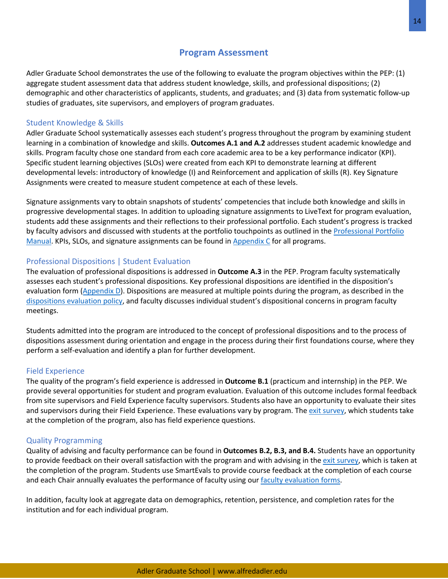## **Program Assessment**

Adler Graduate School demonstrates the use of the following to evaluate the program objectives within the PEP: (1) aggregate student assessment data that address student knowledge, skills, and professional dispositions; (2) demographic and other characteristics of applicants, students, and graduates; and (3) data from systematic follow-up studies of graduates, site supervisors, and employers of program graduates.

## Student Knowledge & Skills

Adler Graduate School systematically assesses each student's progress throughout the program by examining student learning in a combination of knowledge and skills. **Outcomes A.1 and A.2** addresses student academic knowledge and skills. Program faculty chose one standard from each core academic area to be a key performance indicator (KPI). Specific student learning objectives (SLOs) were created from each KPI to demonstrate learning at different developmental levels: introductory of knowledge (I) and Reinforcement and application of skills (R). Key Signature Assignments were created to measure student competence at each of these levels.

Signature assignments vary to obtain snapshots of students' competencies that include both knowledge and skills in progressive developmental stages. In addition to uploading signature assignments to LiveText for program evaluation, students add these assignments and their reflections to their professional portfolio. Each student's progress is tracked by faculty advisors and discussed with students at the portfolio touchpoints as outlined in the Professional Portfolio Manual. KPIs, SLOs, and signature assignments can be found in Appendix C for all programs.

## Professional Dispositions | Student Evaluation

The evaluation of professional dispositions is addressed in **Outcome A.3** in the PEP. Program faculty systematically assesses each student's professional dispositions. Key professional dispositions are identified in the disposition's evaluation form (Appendix D). Dispositions are measured at multiple points during the program, as described in the dispositions evaluation policy, and faculty discusses individual student's dispositional concerns in program faculty meetings.

Students admitted into the program are introduced to the concept of professional dispositions and to the process of dispositions assessment during orientation and engage in the process during their first foundations course, where they perform a self-evaluation and identify a plan for further development.

## Field Experience

The quality of the program's field experience is addressed in **Outcome B.1** (practicum and internship) in the PEP. We provide several opportunities for student and program evaluation. Evaluation of this outcome includes formal feedback from site supervisors and Field Experience faculty supervisors. Students also have an opportunity to evaluate their sites and supervisors during their Field Experience. These evaluations vary by program. The exit survey, which students take at the completion of the program, also has field experience questions.

## Quality Programming

Quality of advising and faculty performance can be found in **Outcomes B.2, B.3, and B.4.** Students have an opportunity to provide feedback on their overall satisfaction with the program and with advising in the exit survey, which is taken at the completion of the program. Students use SmartEvals to provide course feedback at the completion of each course and each Chair annually evaluates the performance of faculty using our faculty evaluation forms.

In addition, faculty look at aggregate data on demographics, retention, persistence, and completion rates for the institution and for each individual program.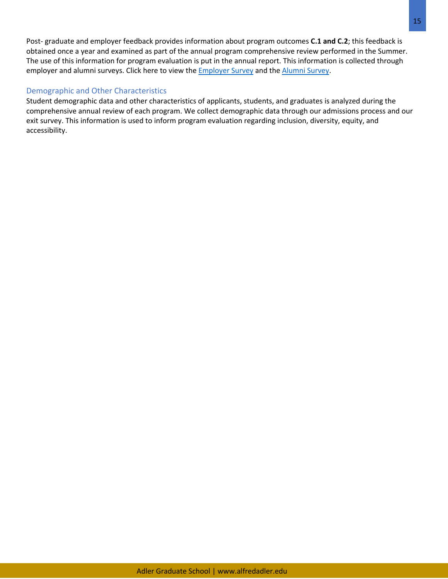Post- graduate and employer feedback provides information about program outcomes **C.1 and C.2**; this feedback is obtained once a year and examined as part of the annual program comprehensive review performed in the Summer. The use of this information for program evaluation is put in the annual report. This information is collected through employer and alumni surveys. Click here to view the **Employer Survey and the Alumni Survey**.

## Demographic and Other Characteristics

Student demographic data and other characteristics of applicants, students, and graduates is analyzed during the comprehensive annual review of each program. We collect demographic data through our admissions process and our exit survey. This information is used to inform program evaluation regarding inclusion, diversity, equity, and accessibility.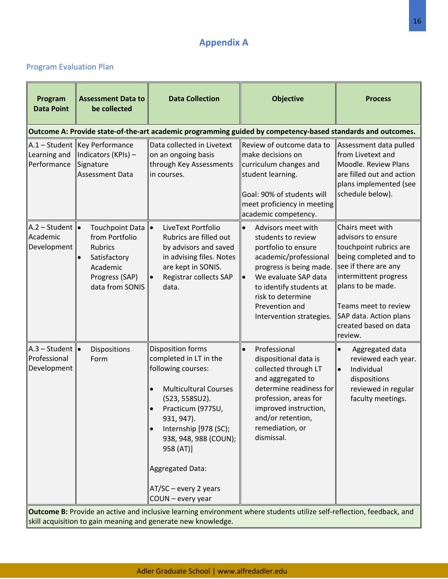# **Appendix A**

# Program Evaluation Plan

| Program<br><b>Data Point</b>                              | <b>Assessment Data to</b><br>be collected                                                                                | <b>Data Collection</b>                                                                                                                                                                                                                                                                    | <b>Objective</b>                                                                                                                                                                                                                                       | <b>Process</b>                                                                                                                                                                                                                                         |
|-----------------------------------------------------------|--------------------------------------------------------------------------------------------------------------------------|-------------------------------------------------------------------------------------------------------------------------------------------------------------------------------------------------------------------------------------------------------------------------------------------|--------------------------------------------------------------------------------------------------------------------------------------------------------------------------------------------------------------------------------------------------------|--------------------------------------------------------------------------------------------------------------------------------------------------------------------------------------------------------------------------------------------------------|
|                                                           |                                                                                                                          |                                                                                                                                                                                                                                                                                           | Outcome A: Provide state-of-the-art academic programming guided by competency-based standards and outcomes.                                                                                                                                            |                                                                                                                                                                                                                                                        |
| Learning and<br>Performance                               | A.1 – Student  Key Performance<br>Indicators (KPIs) -<br>Signature<br>Assessment Data                                    | Data collected in Livetext<br>on an ongoing basis<br>through Key Assessments<br>in courses.                                                                                                                                                                                               | Review of outcome data to<br>make decisions on<br>curriculum changes and<br>student learning.<br>Goal: 90% of students will<br>meet proficiency in meeting<br>academic competency.                                                                     | Assessment data pulled<br>from Livetext and<br>Moodle. Review Plans<br>are filled out and action<br>plans implemented (see<br>schedule below).                                                                                                         |
| A.2 – Student $\  \bullet \ $<br>Academic<br>Development  | Touchpoint Data   •<br>from Portfolio<br><b>Rubrics</b><br>Satisfactory<br>Academic<br>Progress (SAP)<br>data from SONIS | LiveText Portfolio<br>Rubrics are filled out<br>by advisors and saved<br>in advising files. Notes<br>are kept in SONIS.<br>Registrar collects SAP<br>data.                                                                                                                                | Advisors meet with<br>$\bullet$<br>students to review<br>portfolio to ensure<br>academic/professional<br>progress is being made.<br>We evaluate SAP data<br>to identify students at<br>risk to determine<br>Prevention and<br>Intervention strategies. | Chairs meet with<br>advisors to ensure<br>touchpoint rubrics are<br>being completed and to<br>see if there are any<br>intermittent progress<br>plans to be made.<br>Teams meet to review<br>SAP data. Action plans<br>created based on data<br>review. |
| A.3 – Student $\  \bullet$<br>Professional<br>Development | Dispositions<br>Form                                                                                                     | Disposition forms<br>completed in LT in the<br>following courses:<br><b>Multicultural Courses</b><br>(523, 558SU2).<br>Practicum (977SU,<br>931, 947).<br>Internship [978 (SC);<br>938, 948, 988 (COUN);<br>958 (AT)]<br>Aggregated Data:<br>$AT/SC$ – every 2 years<br>COUN - every year | Professional<br>$\bullet$<br>dispositional data is<br>collected through LT<br>and aggregated to<br>determine readiness for<br>profession, areas for<br>improved instruction,<br>and/or retention,<br>remediation, or<br>dismissal.                     | Aggregated data<br>reviewed each year.<br>Individual<br>$\bullet$<br>dispositions<br>reviewed in regular<br>faculty meetings.                                                                                                                          |
|                                                           |                                                                                                                          | skill acquisition to gain meaning and generate new knowledge.                                                                                                                                                                                                                             | Outcome B: Provide an active and inclusive learning environment where students utilize self-reflection, feedback, and                                                                                                                                  |                                                                                                                                                                                                                                                        |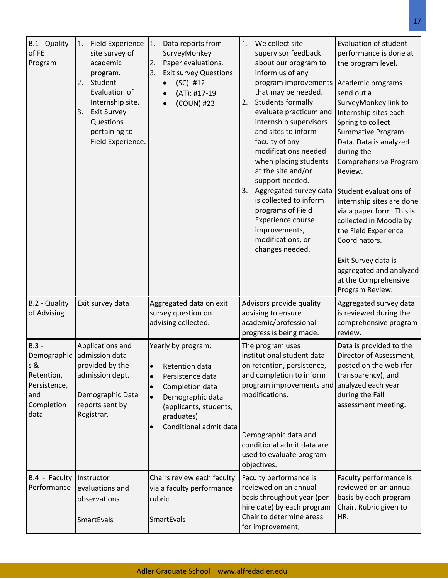| B.1 - Quality<br>of FE<br>Program                                                        | <b>Field Experience</b><br>1.<br>site survey of<br>academic<br>program.<br>Student<br>2.<br>Evaluation of<br>Internship site.<br><b>Exit Survey</b><br>3.<br>Questions<br>pertaining to<br>Field Experience. | 1.<br>Data reports from<br>SurveyMonkey<br>2.<br>Paper evaluations.<br><b>Exit survey Questions:</b><br>3.<br>(SC): #12<br>(AT): #17-19<br>(COUN) #23                                       | We collect site<br>1.<br>supervisor feedback<br>about our program to<br>inform us of any<br>program improvements<br>that may be needed.<br><b>Students formally</b><br>2.<br>evaluate practicum and<br>internship supervisors<br>and sites to inform<br>faculty of any<br>modifications needed<br>when placing students<br>at the site and/or<br>support needed.<br>3. Aggregated survey data<br>is collected to inform<br>programs of Field<br>Experience course<br>improvements,<br>modifications, or<br>changes needed. | <b>Evaluation of student</b><br>performance is done at<br>the program level.<br>Academic programs<br>send out a<br>SurveyMonkey link to<br>Internship sites each<br>Spring to collect<br>Summative Program<br>Data. Data is analyzed<br>during the<br>Comprehensive Program<br>Review.<br>Student evaluations of<br>internship sites are done<br>via a paper form. This is<br>collected in Moodle by<br>the Field Experience<br>Coordinators.<br>Exit Survey data is<br>aggregated and analyzed<br>at the Comprehensive<br>Program Review. |
|------------------------------------------------------------------------------------------|--------------------------------------------------------------------------------------------------------------------------------------------------------------------------------------------------------------|---------------------------------------------------------------------------------------------------------------------------------------------------------------------------------------------|----------------------------------------------------------------------------------------------------------------------------------------------------------------------------------------------------------------------------------------------------------------------------------------------------------------------------------------------------------------------------------------------------------------------------------------------------------------------------------------------------------------------------|--------------------------------------------------------------------------------------------------------------------------------------------------------------------------------------------------------------------------------------------------------------------------------------------------------------------------------------------------------------------------------------------------------------------------------------------------------------------------------------------------------------------------------------------|
| B.2 - Quality<br>of Advising                                                             | Exit survey data                                                                                                                                                                                             | Aggregated data on exit<br>survey question on<br>advising collected.                                                                                                                        | Advisors provide quality<br>advising to ensure<br>academic/professional<br>progress is being made.                                                                                                                                                                                                                                                                                                                                                                                                                         | Aggregated survey data<br>is reviewed during the<br>comprehensive program<br>review.                                                                                                                                                                                                                                                                                                                                                                                                                                                       |
| $B.3 -$<br>Demographic<br>s &<br>Retention,<br>Persistence,<br>and<br>Completion<br>data | Applications and<br>admission data<br>provided by the<br>admission dept.<br>Demographic Data<br>reports sent by<br>Registrar.                                                                                | Yearly by program:<br>Retention data<br>$\bullet$<br>Persistence data<br>Completion data<br>Demographic data<br>$\bullet$<br>(applicants, students,<br>graduates)<br>Conditional admit data | The program uses<br>institutional student data<br>on retention, persistence,<br>and completion to inform<br>program improvements and<br>modifications.<br>Demographic data and<br>conditional admit data are<br>used to evaluate program<br>objectives.                                                                                                                                                                                                                                                                    | Data is provided to the<br>Director of Assessment,<br>posted on the web (for<br>transparency), and<br>analyzed each year<br>during the Fall<br>assessment meeting.                                                                                                                                                                                                                                                                                                                                                                         |
| B.4 - Faculty<br>Performance                                                             | Instructor<br>evaluations and<br>observations<br><b>SmartEvals</b>                                                                                                                                           | Chairs review each faculty<br>via a faculty performance<br>rubric.<br>SmartEvals                                                                                                            | Faculty performance is<br>reviewed on an annual<br>basis throughout year (per<br>hire date) by each program<br>Chair to determine areas<br>for improvement,                                                                                                                                                                                                                                                                                                                                                                | Faculty performance is<br>reviewed on an annual<br>basis by each program<br>Chair. Rubric given to<br>HR.                                                                                                                                                                                                                                                                                                                                                                                                                                  |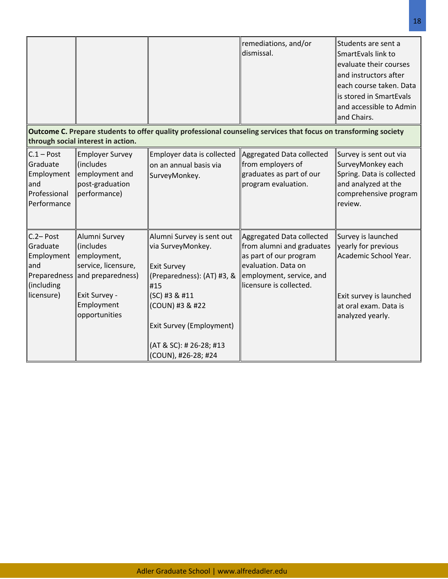|                                                                                           |                                                                                                                                       |                                                                                                                                                                                                                             | remediations, and/or<br>dismissal.                                                                                                                             | Students are sent a<br>SmartEvals link to<br>evaluate their courses<br>and instructors after<br>each course taken. Data<br>is stored in SmartEvals<br>and accessible to Admin<br>and Chairs. |
|-------------------------------------------------------------------------------------------|---------------------------------------------------------------------------------------------------------------------------------------|-----------------------------------------------------------------------------------------------------------------------------------------------------------------------------------------------------------------------------|----------------------------------------------------------------------------------------------------------------------------------------------------------------|----------------------------------------------------------------------------------------------------------------------------------------------------------------------------------------------|
|                                                                                           | through social interest in action.                                                                                                    |                                                                                                                                                                                                                             | Outcome C. Prepare students to offer quality professional counseling services that focus on transforming society                                               |                                                                                                                                                                                              |
| $C.1 - Post$<br>Graduate<br>Employment<br>and<br>Professional<br>Performance              | <b>Employer Survey</b><br>(includes<br>employment and<br>post-graduation<br>performance)                                              | Employer data is collected<br>on an annual basis via<br>SurveyMonkey.                                                                                                                                                       | Aggregated Data collected<br>from employers of<br>graduates as part of our<br>program evaluation.                                                              | Survey is sent out via<br>SurveyMonkey each<br>Spring. Data is collected<br>and analyzed at the<br>comprehensive program<br>review.                                                          |
| $C.2 - Post$<br>Graduate<br>Employment<br>and<br>Preparedness<br>(including<br>licensure) | Alumni Survey<br>(includes<br>employment,<br>service, licensure,<br>and preparedness)<br>Exit Survey -<br>Employment<br>opportunities | Alumni Survey is sent out<br>via SurveyMonkey.<br><b>Exit Survey</b><br>(Preparedness): (AT) #3, &<br>#15<br>(SC) #3 & #11<br>(COUN) #3 & #22<br>Exit Survey (Employment)<br>(AT & SC): # 26-28; #13<br>(COUN), #26-28; #24 | Aggregated Data collected<br>from alumni and graduates<br>as part of our program<br>evaluation. Data on<br>employment, service, and<br>licensure is collected. | Survey is launched<br>yearly for previous<br>Academic School Year.<br>Exit survey is launched<br>at oral exam. Data is<br>analyzed yearly.                                                   |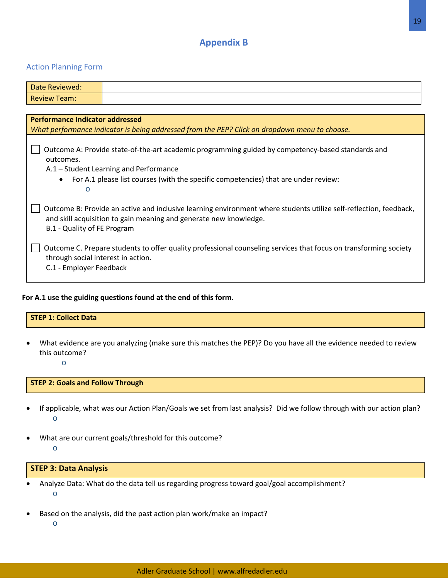# **Appendix B**

## Action Planning Form

| Date Reviewed:                                                                                                                                                                                                        |                                                                                                                                                                                                                                    |  |  |  |
|-----------------------------------------------------------------------------------------------------------------------------------------------------------------------------------------------------------------------|------------------------------------------------------------------------------------------------------------------------------------------------------------------------------------------------------------------------------------|--|--|--|
| <b>Review Team:</b>                                                                                                                                                                                                   |                                                                                                                                                                                                                                    |  |  |  |
|                                                                                                                                                                                                                       |                                                                                                                                                                                                                                    |  |  |  |
| <b>Performance Indicator addressed</b>                                                                                                                                                                                |                                                                                                                                                                                                                                    |  |  |  |
|                                                                                                                                                                                                                       | What performance indicator is being addressed from the PEP? Click on dropdown menu to choose.                                                                                                                                      |  |  |  |
| outcomes.<br>$\bullet$<br>$\circ$                                                                                                                                                                                     | Outcome A: Provide state-of-the-art academic programming guided by competency-based standards and<br>A.1 – Student Learning and Performance<br>For A.1 please list courses (with the specific competencies) that are under review: |  |  |  |
| Outcome B: Provide an active and inclusive learning environment where students utilize self-reflection, feedback,<br>and skill acquisition to gain meaning and generate new knowledge.<br>B.1 - Quality of FE Program |                                                                                                                                                                                                                                    |  |  |  |
| through social interest in action.<br>C.1 - Employer Feedback                                                                                                                                                         | Outcome C. Prepare students to offer quality professional counseling services that focus on transforming society                                                                                                                   |  |  |  |

## **For A.1 use the guiding questions found at the end of this form.**

# **STEP 1: Collect Data**

• What evidence are you analyzing (make sure this matches the PEP)? Do you have all the evidence needed to review this outcome?

o

## **STEP 2: Goals and Follow Through**

- If applicable, what was our Action Plan/Goals we set from last analysis? Did we follow through with our action plan? o
- What are our current goals/threshold for this outcome? o

## **STEP 3: Data Analysis**

- Analyze Data: What do the data tell us regarding progress toward goal/goal accomplishment? o
- Based on the analysis, did the past action plan work/make an impact?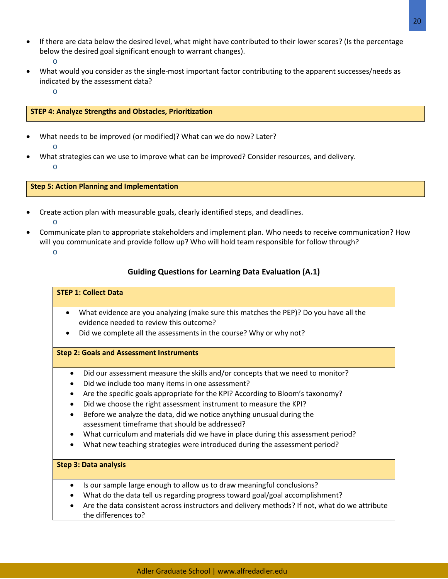- If there are data below the desired level, what might have contributed to their lower scores? (Is the percentage below the desired goal significant enough to warrant changes). o
- What would you consider as the single-most important factor contributing to the apparent successes/needs as indicated by the assessment data?
	- o

## **STEP 4: Analyze Strengths and Obstacles, Prioritization**

- What needs to be improved (or modified)? What can we do now? Later? o
- What strategies can we use to improve what can be improved? Consider resources, and delivery. o

**Step 5: Action Planning and Implementation**

- Create action plan with measurable goals, clearly identified steps, and deadlines.
	- o
- Communicate plan to appropriate stakeholders and implement plan. Who needs to receive communication? How will you communicate and provide follow up? Who will hold team responsible for follow through?
	- o

## **Guiding Questions for Learning Data Evaluation (A.1)**

#### **STEP 1: Collect Data**

- What evidence are you analyzing (make sure this matches the PEP)? Do you have all the evidence needed to review this outcome?
- Did we complete all the assessments in the course? Why or why not?

#### **Step 2: Goals and Assessment Instruments**

- Did our assessment measure the skills and/or concepts that we need to monitor?
- Did we include too many items in one assessment?
- Are the specific goals appropriate for the KPI? According to Bloom's taxonomy?
- Did we choose the right assessment instrument to measure the KPI?
- Before we analyze the data, did we notice anything unusual during the assessment timeframe that should be addressed?
- What curriculum and materials did we have in place during this assessment period?
- What new teaching strategies were introduced during the assessment period?

#### **Step 3: Data analysis**

- Is our sample large enough to allow us to draw meaningful conclusions?
- What do the data tell us regarding progress toward goal/goal accomplishment?
- Are the data consistent across instructors and delivery methods? If not, what do we attribute the differences to?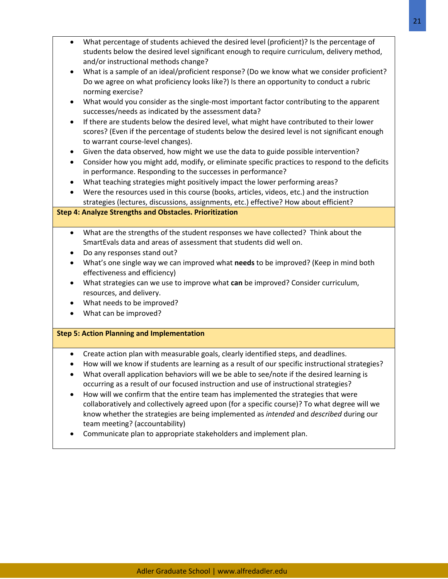Adler Graduate School | www.alfredadler.edu

- What percentage of students achieved the desired level (proficient)? Is the percentage of students below the desired level significant enough to require curriculum, delivery method, and/or instructional methods change?
- What is a sample of an ideal/proficient response? (Do we know what we consider proficient? Do we agree on what proficiency looks like?) Is there an opportunity to conduct a rubric norming exercise?
- What would you consider as the single-most important factor contributing to the apparent successes/needs as indicated by the assessment data?
- If there are students below the desired level, what might have contributed to their lower scores? (Even if the percentage of students below the desired level is not significant enough to warrant course-level changes).
- Given the data observed, how might we use the data to guide possible intervention?
- Consider how you might add, modify, or eliminate specific practices to respond to the deficits in performance. Responding to the successes in performance?
- What teaching strategies might positively impact the lower performing areas?
- Were the resources used in this course (books, articles, videos, etc.) and the instruction strategies (lectures, discussions, assignments, etc.) effective? How about efficient?

#### **Step 4: Analyze Strengths and Obstacles. Prioritization**

- What are the strengths of the student responses we have collected? Think about the SmartEvals data and areas of assessment that students did well on.
- Do any responses stand out?
- What's one single way we can improved what **needs** to be improved? (Keep in mind both effectiveness and efficiency)
- What strategies can we use to improve what **can** be improved? Consider curriculum, resources, and delivery.
- What needs to be improved?
- What can be improved?

#### **Step 5: Action Planning and Implementation**

- Create action plan with measurable goals, clearly identified steps, and deadlines.
- How will we know if students are learning as a result of our specific instructional strategies?
- What overall application behaviors will we be able to see/note if the desired learning is occurring as a result of our focused instruction and use of instructional strategies?
- How will we confirm that the entire team has implemented the strategies that were collaboratively and collectively agreed upon (for a specific course)? To what degree will we know whether the strategies are being implemented as *intended* and *described* during our team meeting? (accountability)
- Communicate plan to appropriate stakeholders and implement plan.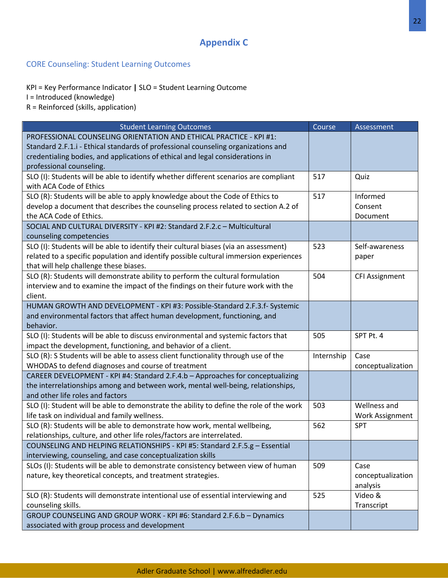# **Appendix C**

## CORE Counseling: Student Learning Outcomes

KPI = Key Performance Indicator **|** SLO = Student Learning Outcome I = Introduced (knowledge)

R = Reinforced (skills, application)

| <b>Student Learning Outcomes</b>                                                        | Course     | <b>Assessment</b>     |
|-----------------------------------------------------------------------------------------|------------|-----------------------|
| PROFESSIONAL COUNSELING ORIENTATION AND ETHICAL PRACTICE - KPI #1:                      |            |                       |
| Standard 2.F.1.i - Ethical standards of professional counseling organizations and       |            |                       |
| credentialing bodies, and applications of ethical and legal considerations in           |            |                       |
| professional counseling.                                                                |            |                       |
| SLO (I): Students will be able to identify whether different scenarios are compliant    | 517        | Quiz                  |
| with ACA Code of Ethics                                                                 |            |                       |
| SLO (R): Students will be able to apply knowledge about the Code of Ethics to           | 517        | Informed              |
| develop a document that describes the counseling process related to section A.2 of      |            | Consent               |
| the ACA Code of Ethics.                                                                 |            | Document              |
| SOCIAL AND CULTURAL DIVERSITY - KPI #2: Standard 2.F.2.c - Multicultural                |            |                       |
| counseling competencies                                                                 |            |                       |
| SLO (I): Students will be able to identify their cultural biases (via an assessment)    | 523        | Self-awareness        |
| related to a specific population and identify possible cultural immersion experiences   |            | paper                 |
| that will help challenge these biases.                                                  |            |                       |
| SLO (R): Students will demonstrate ability to perform the cultural formulation          | 504        | <b>CFI Assignment</b> |
| interview and to examine the impact of the findings on their future work with the       |            |                       |
| client.                                                                                 |            |                       |
| HUMAN GROWTH AND DEVELOPMENT - KPI #3: Possible-Standard 2.F.3.f- Systemic              |            |                       |
| and environmental factors that affect human development, functioning, and               |            |                       |
| behavior.                                                                               |            |                       |
| SLO (I): Students will be able to discuss environmental and systemic factors that       | 505        | SPT Pt. 4             |
| impact the development, functioning, and behavior of a client.                          |            |                       |
| SLO (R): S Students will be able to assess client functionality through use of the      | Internship | Case                  |
| WHODAS to defend diagnoses and course of treatment                                      |            | conceptualization     |
| CAREER DEVELOPMENT - KPI #4: Standard 2.F.4.b - Approaches for conceptualizing          |            |                       |
| the interrelationships among and between work, mental well-being, relationships,        |            |                       |
| and other life roles and factors                                                        |            |                       |
| SLO (I): Student will be able to demonstrate the ability to define the role of the work | 503        | Wellness and          |
| life task on individual and family wellness.                                            |            | Work Assignment       |
| SLO (R): Students will be able to demonstrate how work, mental wellbeing,               | 562        | <b>SPT</b>            |
| relationships, culture, and other life roles/factors are interrelated.                  |            |                       |
| COUNSELING AND HELPING RELATIONSHIPS - KPI #5: Standard 2.F.5.g - Essential             |            |                       |
| interviewing, counseling, and case conceptualization skills                             |            |                       |
| SLOs (I): Students will be able to demonstrate consistency between view of human        | 509        | Case                  |
| nature, key theoretical concepts, and treatment strategies.                             |            | conceptualization     |
|                                                                                         |            | analysis              |
| SLO (R): Students will demonstrate intentional use of essential interviewing and        | 525        | Video &               |
| counseling skills.                                                                      |            | Transcript            |
| GROUP COUNSELING AND GROUP WORK - KPI #6: Standard 2.F.6.b - Dynamics                   |            |                       |
| associated with group process and development                                           |            |                       |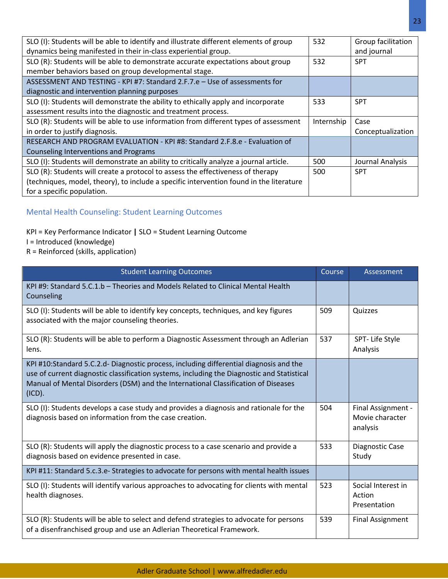| SLO (I): Students will be able to identify and illustrate different elements of group   | 532        | Group facilitation |
|-----------------------------------------------------------------------------------------|------------|--------------------|
| dynamics being manifested in their in-class experiential group.                         |            | and journal        |
| SLO (R): Students will be able to demonstrate accurate expectations about group         | 532        | <b>SPT</b>         |
| member behaviors based on group developmental stage.                                    |            |                    |
| ASSESSMENT AND TESTING - KPI #7: Standard 2.F.7.e - Use of assessments for              |            |                    |
| diagnostic and intervention planning purposes                                           |            |                    |
| SLO (I): Students will demonstrate the ability to ethically apply and incorporate       | 533        | <b>SPT</b>         |
| assessment results into the diagnostic and treatment process.                           |            |                    |
| SLO (R): Students will be able to use information from different types of assessment    | Internship | Case               |
| in order to justify diagnosis.                                                          |            | Conceptualization  |
| RESEARCH AND PROGRAM EVALUATION - KPI #8: Standard 2.F.8.e - Evaluation of              |            |                    |
| Counseling Interventions and Programs                                                   |            |                    |
| SLO (I): Students will demonstrate an ability to critically analyze a journal article.  | 500        | Journal Analysis   |
| SLO (R): Students will create a protocol to assess the effectiveness of therapy         | 500        | <b>SPT</b>         |
| (techniques, model, theory), to include a specific intervention found in the literature |            |                    |
| for a specific population.                                                              |            |                    |

# Mental Health Counseling: Student Learning Outcomes

## KPI = Key Performance Indicator **|** SLO = Student Learning Outcome

- I = Introduced (knowledge)
- R = Reinforced (skills, application)

| <b>Student Learning Outcomes</b>                                                                                                                                                                                                                                                    | Course | Assessment                                        |
|-------------------------------------------------------------------------------------------------------------------------------------------------------------------------------------------------------------------------------------------------------------------------------------|--------|---------------------------------------------------|
| KPI #9: Standard 5.C.1.b - Theories and Models Related to Clinical Mental Health<br>Counseling                                                                                                                                                                                      |        |                                                   |
| SLO (I): Students will be able to identify key concepts, techniques, and key figures<br>associated with the major counseling theories.                                                                                                                                              | 509    | Quizzes                                           |
| SLO (R): Students will be able to perform a Diagnostic Assessment through an Adlerian<br>lens.                                                                                                                                                                                      | 537    | SPT- Life Style<br>Analysis                       |
| KPI #10:Standard 5.C.2.d- Diagnostic process, including differential diagnosis and the<br>use of current diagnostic classification systems, including the Diagnostic and Statistical<br>Manual of Mental Disorders (DSM) and the International Classification of Diseases<br>(ICD). |        |                                                   |
| SLO (I): Students develops a case study and provides a diagnosis and rationale for the<br>diagnosis based on information from the case creation.                                                                                                                                    | 504    | Final Assignment -<br>Movie character<br>analysis |
| SLO (R): Students will apply the diagnostic process to a case scenario and provide a<br>diagnosis based on evidence presented in case.                                                                                                                                              | 533    | Diagnostic Case<br>Study                          |
| KPI #11: Standard 5.c.3.e- Strategies to advocate for persons with mental health issues                                                                                                                                                                                             |        |                                                   |
| SLO (I): Students will identify various approaches to advocating for clients with mental<br>health diagnoses.                                                                                                                                                                       | 523    | Social Interest in<br>Action<br>Presentation      |
| SLO (R): Students will be able to select and defend strategies to advocate for persons<br>of a disenfranchised group and use an Adlerian Theoretical Framework.                                                                                                                     | 539    | <b>Final Assignment</b>                           |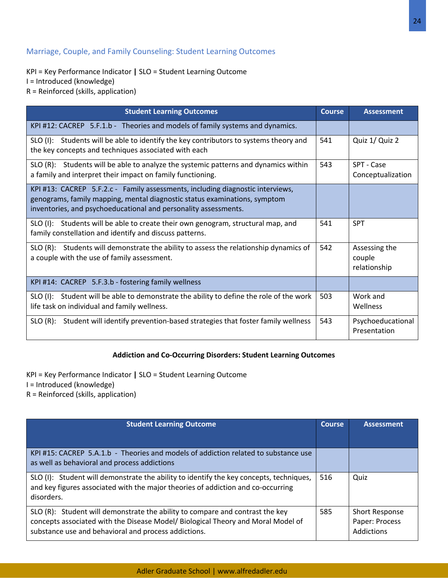## Marriage, Couple, and Family Counseling: Student Learning Outcomes

KPI = Key Performance Indicator **|** SLO = Student Learning Outcome I = Introduced (knowledge) R = Reinforced (skills, application)

| <b>Student Learning Outcomes</b>                                                                                                                                                                                               | <b>Course</b> | <b>Assessment</b>                       |
|--------------------------------------------------------------------------------------------------------------------------------------------------------------------------------------------------------------------------------|---------------|-----------------------------------------|
| KPI #12: CACREP 5.F.1.b - Theories and models of family systems and dynamics.                                                                                                                                                  |               |                                         |
| SLO (I): Students will be able to identify the key contributors to systems theory and<br>the key concepts and techniques associated with each                                                                                  | 541           | Quiz 1/ Quiz 2                          |
| SLO (R): Students will be able to analyze the systemic patterns and dynamics within<br>a family and interpret their impact on family functioning.                                                                              | 543           | SPT - Case<br>Conceptualization         |
| KPI #13: CACREP 5.F.2.c - Family assessments, including diagnostic interviews,<br>genograms, family mapping, mental diagnostic status examinations, symptom<br>inventories, and psychoeducational and personality assessments. |               |                                         |
| SLO (I): Students will be able to create their own genogram, structural map, and<br>family constellation and identify and discuss patterns.                                                                                    | 541           | <b>SPT</b>                              |
| SLO (R): Students will demonstrate the ability to assess the relationship dynamics of<br>a couple with the use of family assessment.                                                                                           | 542           | Assessing the<br>couple<br>relationship |
| KPI #14: CACREP 5.F.3.b - fostering family wellness                                                                                                                                                                            |               |                                         |
| SLO (I): Student will be able to demonstrate the ability to define the role of the work<br>life task on individual and family wellness.                                                                                        | 503           | Work and<br>Wellness                    |
| SLO (R): Student will identify prevention-based strategies that foster family wellness                                                                                                                                         | 543           | Psychoeducational<br>Presentation       |

## **Addiction and Co-Occurring Disorders: Student Learning Outcomes**

KPI = Key Performance Indicator **|** SLO = Student Learning Outcome I = Introduced (knowledge) R = Reinforced (skills, application)

| <b>Student Learning Outcome</b>                                                                                                                                                                                           | <b>Course</b> | <b>Assessment</b>                                     |
|---------------------------------------------------------------------------------------------------------------------------------------------------------------------------------------------------------------------------|---------------|-------------------------------------------------------|
| KPI #15: CACREP 5.A.1.b - Theories and models of addiction related to substance use<br>as well as behavioral and process addictions                                                                                       |               |                                                       |
| SLO (I): Student will demonstrate the ability to identify the key concepts, techniques,<br>and key figures associated with the major theories of addiction and co-occurring<br>disorders.                                 | 516           | Quiz                                                  |
| SLO (R): Student will demonstrate the ability to compare and contrast the key<br>concepts associated with the Disease Model/ Biological Theory and Moral Model of<br>substance use and behavioral and process addictions. | 585           | <b>Short Response</b><br>Paper: Process<br>Addictions |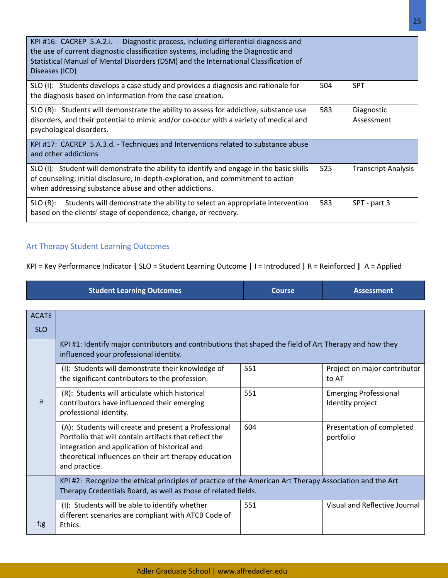| KPI #16: CACREP 5.A.2.i. - Diagnostic process, including differential diagnosis and<br>the use of current diagnostic classification systems, including the Diagnostic and<br>Statistical Manual of Mental Disorders (DSM) and the International Classification of<br>Diseases (ICD) |     |                            |
|-------------------------------------------------------------------------------------------------------------------------------------------------------------------------------------------------------------------------------------------------------------------------------------|-----|----------------------------|
| SLO (I): Students develops a case study and provides a diagnosis and rationale for<br>the diagnosis based on information from the case creation.                                                                                                                                    | 504 | <b>SPT</b>                 |
| SLO (R): Students will demonstrate the ability to assess for addictive, substance use<br>disorders, and their potential to mimic and/or co-occur with a variety of medical and<br>psychological disorders.                                                                          | 583 | Diagnostic<br>Assessment   |
| KPI #17: CACREP 5.A.3.d. - Techniques and Interventions related to substance abuse<br>and other addictions                                                                                                                                                                          |     |                            |
| SLO (I): Student will demonstrate the ability to identify and engage in the basic skills<br>of counseling: initial disclosure, in-depth-exploration, and commitment to action<br>when addressing substance abuse and other addictions.                                              | 525 | <b>Transcript Analysis</b> |
| SLO (R): Students will demonstrate the ability to select an appropriate intervention<br>based on the clients' stage of dependence, change, or recovery.                                                                                                                             | 583 | SPT - part 3               |

## Art Therapy Student Learning Outcomes

KPI = Key Performance Indicator **|** SLO = Student Learning Outcome **|** I = Introduced **|** R = Reinforced **|** A = Applied

|              | <b>Student Learning Outcomes</b>                                                                                                                                                                                                          | <b>Course</b> | <b>Assessment</b>                                |
|--------------|-------------------------------------------------------------------------------------------------------------------------------------------------------------------------------------------------------------------------------------------|---------------|--------------------------------------------------|
|              |                                                                                                                                                                                                                                           |               |                                                  |
| <b>ACATE</b> |                                                                                                                                                                                                                                           |               |                                                  |
| <b>SLO</b>   |                                                                                                                                                                                                                                           |               |                                                  |
|              | KPI #1: Identify major contributors and contributions that shaped the field of Art Therapy and how they<br>influenced your professional identity.                                                                                         |               |                                                  |
|              | (I): Students will demonstrate their knowledge of<br>the significant contributors to the profession.                                                                                                                                      | 551           | Project on major contributor<br>to AT            |
| a            | (R): Students will articulate which historical<br>contributors have influenced their emerging<br>professional identity.                                                                                                                   | 551           | <b>Emerging Professional</b><br>Identity project |
|              | (A): Students will create and present a Professional<br>Portfolio that will contain artifacts that reflect the<br>integration and application of historical and<br>theoretical influences on their art therapy education<br>and practice. | 604           | Presentation of completed<br>portfolio           |
|              | KPI #2: Recognize the ethical principles of practice of the American Art Therapy Association and the Art<br>Therapy Credentials Board, as well as those of related fields.                                                                |               |                                                  |
| $f$ ;g       | (I): Students will be able to identify whether<br>different scenarios are compliant with ATCB Code of<br>Ethics.                                                                                                                          | 551           | Visual and Reflective Journal                    |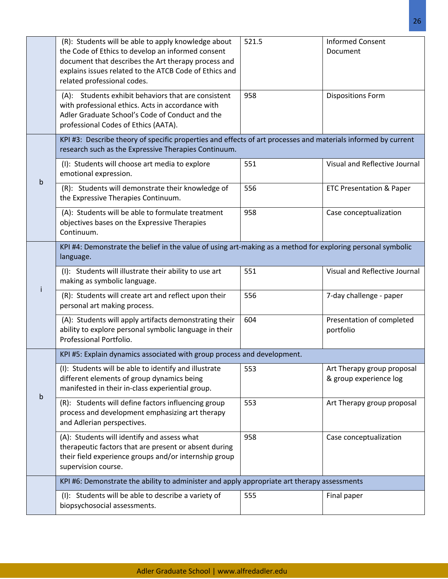|                                                                                                                          | (R): Students will be able to apply knowledge about<br>the Code of Ethics to develop an informed consent<br>document that describes the Art therapy process and<br>explains issues related to the ATCB Code of Ethics and<br>related professional codes. | 521.5 | <b>Informed Consent</b><br>Document                  |
|--------------------------------------------------------------------------------------------------------------------------|----------------------------------------------------------------------------------------------------------------------------------------------------------------------------------------------------------------------------------------------------------|-------|------------------------------------------------------|
|                                                                                                                          | (A): Students exhibit behaviors that are consistent<br>with professional ethics. Acts in accordance with<br>Adler Graduate School's Code of Conduct and the<br>professional Codes of Ethics (AATA).                                                      | 958   | <b>Dispositions Form</b>                             |
|                                                                                                                          | KPI #3: Describe theory of specific properties and effects of art processes and materials informed by current<br>research such as the Expressive Therapies Continuum.                                                                                    |       |                                                      |
|                                                                                                                          | (I): Students will choose art media to explore<br>emotional expression.                                                                                                                                                                                  | 551   | Visual and Reflective Journal                        |
| b                                                                                                                        | (R): Students will demonstrate their knowledge of<br>the Expressive Therapies Continuum.                                                                                                                                                                 | 556   | <b>ETC Presentation &amp; Paper</b>                  |
|                                                                                                                          | (A): Students will be able to formulate treatment<br>objectives bases on the Expressive Therapies<br>Continuum.                                                                                                                                          | 958   | Case conceptualization                               |
| KPI #4: Demonstrate the belief in the value of using art-making as a method for exploring personal symbolic<br>language. |                                                                                                                                                                                                                                                          |       |                                                      |
|                                                                                                                          | (I): Students will illustrate their ability to use art<br>making as symbolic language.                                                                                                                                                                   | 551   | Visual and Reflective Journal                        |
|                                                                                                                          | (R): Students will create art and reflect upon their<br>personal art making process.                                                                                                                                                                     | 556   | 7-day challenge - paper                              |
|                                                                                                                          | (A): Students will apply artifacts demonstrating their<br>ability to explore personal symbolic language in their<br>Professional Portfolio.                                                                                                              | 604   | Presentation of completed<br>portfolio               |
|                                                                                                                          | KPI #5: Explain dynamics associated with group process and development.                                                                                                                                                                                  |       |                                                      |
|                                                                                                                          | (I): Students will be able to identify and illustrate<br>different elements of group dynamics being<br>manifested in their in-class experiential group.                                                                                                  | 553   | Art Therapy group proposal<br>& group experience log |
| b                                                                                                                        | (R): Students will define factors influencing group<br>process and development emphasizing art therapy<br>and Adlerian perspectives.                                                                                                                     | 553   | Art Therapy group proposal                           |
|                                                                                                                          | (A): Students will identify and assess what<br>therapeutic factors that are present or absent during<br>their field experience groups and/or internship group<br>supervision course.                                                                     | 958   | Case conceptualization                               |
|                                                                                                                          | KPI #6: Demonstrate the ability to administer and apply appropriate art therapy assessments                                                                                                                                                              |       |                                                      |
|                                                                                                                          | (I): Students will be able to describe a variety of<br>biopsychosocial assessments.                                                                                                                                                                      | 555   | Final paper                                          |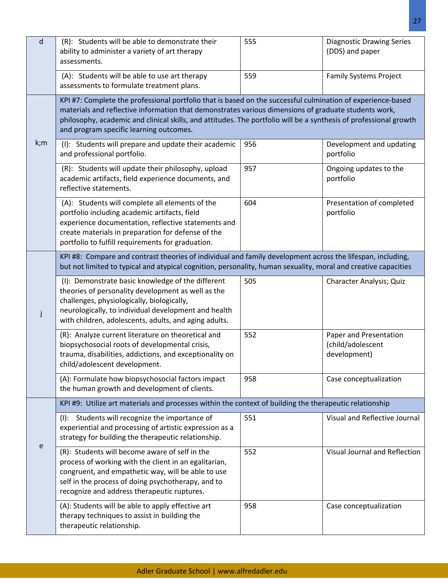| d                                                                                                                                                                                                                            | (R): Students will be able to demonstrate their<br>ability to administer a variety of art therapy<br>assessments.                                                                                                                                                                                                                                                                   | 555 | <b>Diagnostic Drawing Series</b><br>(DDS) and paper         |
|------------------------------------------------------------------------------------------------------------------------------------------------------------------------------------------------------------------------------|-------------------------------------------------------------------------------------------------------------------------------------------------------------------------------------------------------------------------------------------------------------------------------------------------------------------------------------------------------------------------------------|-----|-------------------------------------------------------------|
|                                                                                                                                                                                                                              | (A): Students will be able to use art therapy<br>assessments to formulate treatment plans.                                                                                                                                                                                                                                                                                          | 559 | <b>Family Systems Project</b>                               |
|                                                                                                                                                                                                                              | KPI #7: Complete the professional portfolio that is based on the successful culmination of experience-based<br>materials and reflective information that demonstrates various dimensions of graduate students work,<br>philosophy, academic and clinical skills, and attitudes. The portfolio will be a synthesis of professional growth<br>and program specific learning outcomes. |     |                                                             |
| k;m                                                                                                                                                                                                                          | (I): Students will prepare and update their academic<br>and professional portfolio.                                                                                                                                                                                                                                                                                                 | 956 | Development and updating<br>portfolio                       |
|                                                                                                                                                                                                                              | (R): Students will update their philosophy, upload<br>academic artifacts, field experience documents, and<br>reflective statements.                                                                                                                                                                                                                                                 | 957 | Ongoing updates to the<br>portfolio                         |
|                                                                                                                                                                                                                              | (A): Students will complete all elements of the<br>portfolio including academic artifacts, field<br>experience documentation, reflective statements and<br>create materials in preparation for defense of the<br>portfolio to fulfill requirements for graduation.                                                                                                                  | 604 | Presentation of completed<br>portfolio                      |
| KPI #8: Compare and contrast theories of individual and family development across the lifespan, including,<br>but not limited to typical and atypical cognition, personality, human sexuality, moral and creative capacities |                                                                                                                                                                                                                                                                                                                                                                                     |     |                                                             |
|                                                                                                                                                                                                                              | (I): Demonstrate basic knowledge of the different<br>theories of personality development as well as the<br>challenges, physiologically, biologically,<br>neurologically, to individual development and health<br>with children, adolescents, adults, and aging adults.                                                                                                              | 505 | Character Analysis; Quiz                                    |
|                                                                                                                                                                                                                              | (R): Analyze current literature on theoretical and<br>biopsychosocial roots of developmental crisis,<br>trauma, disabilities, addictions, and exceptionality on<br>child/adolescent development.                                                                                                                                                                                    | 552 | Paper and Presentation<br>(child/adolescent<br>development) |
|                                                                                                                                                                                                                              | (A): Formulate how biopsychosocial factors impact<br>the human growth and development of clients.                                                                                                                                                                                                                                                                                   | 958 | Case conceptualization                                      |
|                                                                                                                                                                                                                              | KPI #9: Utilize art materials and processes within the context of building the therapeutic relationship                                                                                                                                                                                                                                                                             |     |                                                             |
|                                                                                                                                                                                                                              | (I): Students will recognize the importance of<br>experiential and processing of artistic expression as a<br>strategy for building the therapeutic relationship.                                                                                                                                                                                                                    | 551 | Visual and Reflective Journal                               |
| e                                                                                                                                                                                                                            | (R): Students will become aware of self in the<br>process of working with the client in an egalitarian,<br>congruent, and empathetic way, will be able to use<br>self in the process of doing psychotherapy, and to<br>recognize and address therapeutic ruptures.                                                                                                                  | 552 | Visual Journal and Reflection                               |
|                                                                                                                                                                                                                              | (A): Students will be able to apply effective art<br>therapy techniques to assist in building the<br>therapeutic relationship.                                                                                                                                                                                                                                                      | 958 | Case conceptualization                                      |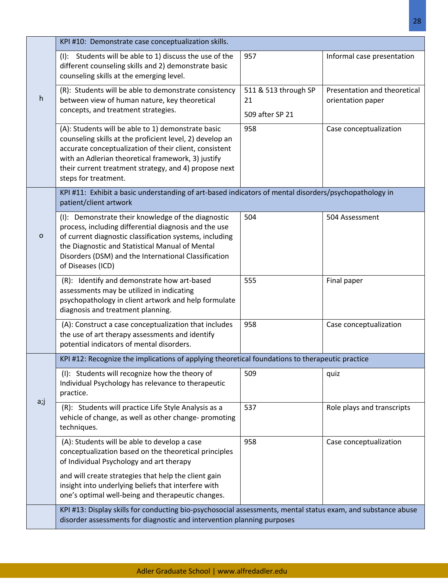|        | KPI #10: Demonstrate case conceptualization skills.                                                                                                                                                                                                                                                             |                                               |                                                   |  |  |
|--------|-----------------------------------------------------------------------------------------------------------------------------------------------------------------------------------------------------------------------------------------------------------------------------------------------------------------|-----------------------------------------------|---------------------------------------------------|--|--|
|        | (I): Students will be able to 1) discuss the use of the<br>different counseling skills and 2) demonstrate basic<br>counseling skills at the emerging level.                                                                                                                                                     | 957                                           | Informal case presentation                        |  |  |
| h      | (R): Students will be able to demonstrate consistency<br>between view of human nature, key theoretical<br>concepts, and treatment strategies.                                                                                                                                                                   | 511 & 513 through SP<br>21<br>509 after SP 21 | Presentation and theoretical<br>orientation paper |  |  |
|        | (A): Students will be able to 1) demonstrate basic<br>counseling skills at the proficient level, 2) develop an<br>accurate conceptualization of their client, consistent<br>with an Adlerian theoretical framework, 3) justify<br>their current treatment strategy, and 4) propose next<br>steps for treatment. | 958                                           | Case conceptualization                            |  |  |
|        | KPI #11: Exhibit a basic understanding of art-based indicators of mental disorders/psychopathology in<br>patient/client artwork                                                                                                                                                                                 |                                               |                                                   |  |  |
| o      | (I): Demonstrate their knowledge of the diagnostic<br>process, including differential diagnosis and the use<br>of current diagnostic classification systems, including<br>the Diagnostic and Statistical Manual of Mental<br>Disorders (DSM) and the International Classification<br>of Diseases (ICD)          | 504                                           | 504 Assessment                                    |  |  |
|        | (R): Identify and demonstrate how art-based<br>assessments may be utilized in indicating<br>psychopathology in client artwork and help formulate<br>diagnosis and treatment planning.                                                                                                                           | 555                                           | Final paper                                       |  |  |
|        | (A): Construct a case conceptualization that includes<br>the use of art therapy assessments and identify<br>potential indicators of mental disorders.                                                                                                                                                           | 958                                           | Case conceptualization                            |  |  |
|        | KPI #12: Recognize the implications of applying theoretical foundations to therapeutic practice                                                                                                                                                                                                                 |                                               |                                                   |  |  |
|        | (I): Students will recognize how the theory of<br>Individual Psychology has relevance to therapeutic<br>practice.                                                                                                                                                                                               | 509                                           | quiz                                              |  |  |
| $a$ ;j | (R): Students will practice Life Style Analysis as a<br>vehicle of change, as well as other change- promoting<br>techniques.                                                                                                                                                                                    | 537                                           | Role plays and transcripts                        |  |  |
|        | (A): Students will be able to develop a case<br>conceptualization based on the theoretical principles<br>of Individual Psychology and art therapy                                                                                                                                                               | 958                                           | Case conceptualization                            |  |  |
|        | and will create strategies that help the client gain<br>insight into underlying beliefs that interfere with<br>one's optimal well-being and therapeutic changes.                                                                                                                                                |                                               |                                                   |  |  |
|        | KPI #13: Display skills for conducting bio-psychosocial assessments, mental status exam, and substance abuse<br>disorder assessments for diagnostic and intervention planning purposes                                                                                                                          |                                               |                                                   |  |  |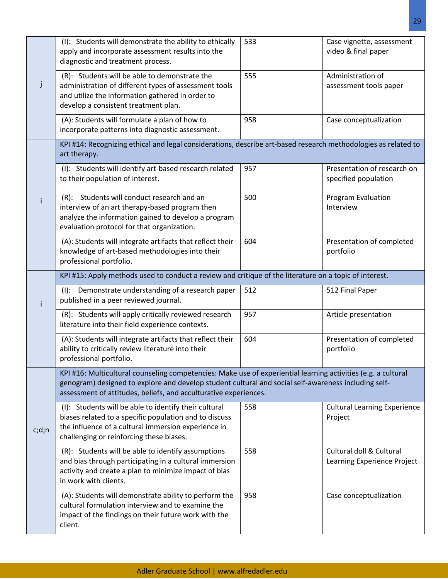|         | (I): Students will demonstrate the ability to ethically<br>apply and incorporate assessment results into the<br>diagnostic and treatment process.                                                                                                                                         | 533 | Case vignette, assessment<br>video & final paper        |  |  |
|---------|-------------------------------------------------------------------------------------------------------------------------------------------------------------------------------------------------------------------------------------------------------------------------------------------|-----|---------------------------------------------------------|--|--|
| Ĵ       | (R): Students will be able to demonstrate the<br>administration of different types of assessment tools<br>and utilize the information gathered in order to<br>develop a consistent treatment plan.                                                                                        | 555 | Administration of<br>assessment tools paper             |  |  |
|         | (A): Students will formulate a plan of how to<br>incorporate patterns into diagnostic assessment.                                                                                                                                                                                         | 958 | Case conceptualization                                  |  |  |
|         | KPI #14: Recognizing ethical and legal considerations, describe art-based research methodologies as related to<br>art therapy.                                                                                                                                                            |     |                                                         |  |  |
|         | (I): Students will identify art-based research related<br>to their population of interest.                                                                                                                                                                                                | 957 | Presentation of research on<br>specified population     |  |  |
|         | (R): Students will conduct research and an<br>interview of an art therapy-based program then<br>analyze the information gained to develop a program<br>evaluation protocol for that organization.                                                                                         | 500 | <b>Program Evaluation</b><br>Interview                  |  |  |
|         | (A): Students will integrate artifacts that reflect their<br>knowledge of art-based methodologies into their<br>professional portfolio.                                                                                                                                                   | 604 | Presentation of completed<br>portfolio                  |  |  |
|         | KPI #15: Apply methods used to conduct a review and critique of the literature on a topic of interest.                                                                                                                                                                                    |     |                                                         |  |  |
| i.      | (I): Demonstrate understanding of a research paper<br>published in a peer reviewed journal.                                                                                                                                                                                               | 512 | 512 Final Paper                                         |  |  |
|         | (R): Students will apply critically reviewed research<br>literature into their field experience contexts.                                                                                                                                                                                 | 957 | Article presentation                                    |  |  |
|         | (A): Students will integrate artifacts that reflect their<br>ability to critically review literature into their<br>professional portfolio.                                                                                                                                                | 604 | Presentation of completed<br>portfolio                  |  |  |
|         | KPI #16: Multicultural counseling competencies: Make use of experiential learning activities (e.g. a cultural<br>genogram) designed to explore and develop student cultural and social self-awareness including self-<br>assessment of attitudes, beliefs, and acculturative experiences. |     |                                                         |  |  |
| c; d; n | (I): Students will be able to identify their cultural<br>biases related to a specific population and to discuss<br>the influence of a cultural immersion experience in<br>challenging or reinforcing these biases.                                                                        | 558 | <b>Cultural Learning Experience</b><br>Project          |  |  |
|         | (R): Students will be able to identify assumptions<br>and bias through participating in a cultural immersion<br>activity and create a plan to minimize impact of bias<br>in work with clients.                                                                                            | 558 | Cultural doll & Cultural<br>Learning Experience Project |  |  |
|         | (A): Students will demonstrate ability to perform the<br>cultural formulation interview and to examine the<br>impact of the findings on their future work with the<br>client.                                                                                                             | 958 | Case conceptualization                                  |  |  |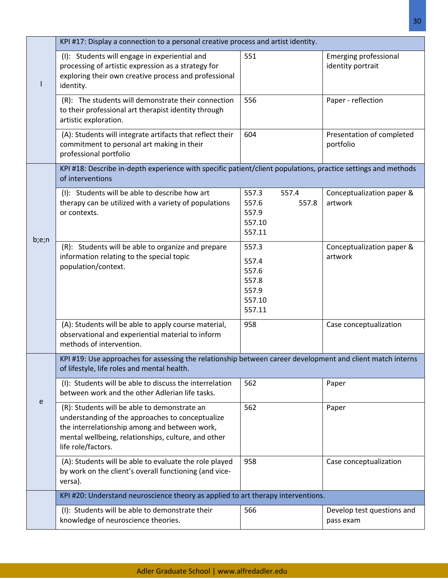|       | KPI #17: Display a connection to a personal creative process and artist identity.                                                                                                                                              |                                                               |                                                   |  |  |
|-------|--------------------------------------------------------------------------------------------------------------------------------------------------------------------------------------------------------------------------------|---------------------------------------------------------------|---------------------------------------------------|--|--|
|       | (I): Students will engage in experiential and<br>processing of artistic expression as a strategy for<br>exploring their own creative process and professional<br>identity.                                                     | 551                                                           | <b>Emerging professional</b><br>identity portrait |  |  |
|       | (R): The students will demonstrate their connection<br>to their professional art therapist identity through<br>artistic exploration.                                                                                           | 556                                                           | Paper - reflection                                |  |  |
|       | (A): Students will integrate artifacts that reflect their<br>commitment to personal art making in their<br>professional portfolio                                                                                              | 604                                                           | Presentation of completed<br>portfolio            |  |  |
|       | KPI #18: Describe in-depth experience with specific patient/client populations, practice settings and methods<br>of interventions                                                                                              |                                                               |                                                   |  |  |
| b;e;n | (I): Students will be able to describe how art<br>therapy can be utilized with a variety of populations<br>or contexts.                                                                                                        | 557.3<br>557.4<br>557.6<br>557.8<br>557.9<br>557.10<br>557.11 | Conceptualization paper &<br>artwork              |  |  |
|       | (R): Students will be able to organize and prepare<br>information relating to the special topic<br>population/context.                                                                                                         | 557.3<br>557.4<br>557.6<br>557.8<br>557.9<br>557.10<br>557.11 | Conceptualization paper &<br>artwork              |  |  |
|       | (A): Students will be able to apply course material,<br>observational and experiential material to inform<br>methods of intervention.                                                                                          | 958                                                           | Case conceptualization                            |  |  |
|       | KPI #19: Use approaches for assessing the relationship between career development and client match interns<br>of lifestyle, life roles and mental health.                                                                      |                                                               |                                                   |  |  |
|       | (I): Students will be able to discuss the interrelation<br>between work and the other Adlerian life tasks.                                                                                                                     | 562                                                           | Paper                                             |  |  |
| e     | (R): Students will be able to demonstrate an<br>understanding of the approaches to conceptualize<br>the interrelationship among and between work,<br>mental wellbeing, relationships, culture, and other<br>life role/factors. | 562                                                           | Paper                                             |  |  |
|       | (A): Students will be able to evaluate the role played<br>by work on the client's overall functioning (and vice-<br>versa).                                                                                                    | 958                                                           | Case conceptualization                            |  |  |
|       | KPI #20: Understand neuroscience theory as applied to art therapy interventions.                                                                                                                                               |                                                               |                                                   |  |  |
|       | (I): Students will be able to demonstrate their<br>knowledge of neuroscience theories.                                                                                                                                         | 566                                                           | Develop test questions and<br>pass exam           |  |  |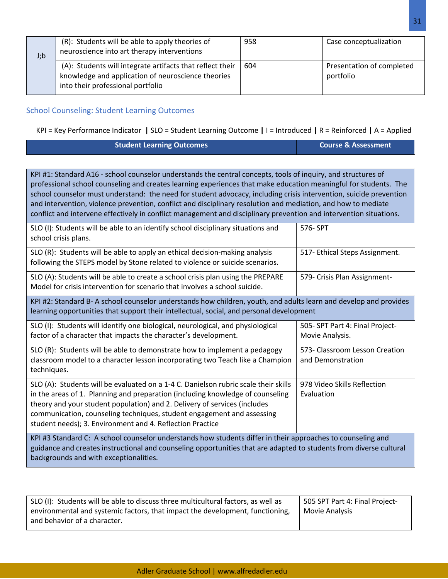| J; b | (R): Students will be able to apply theories of<br>neuroscience into art therapy interventions                                                       | 958 | Case conceptualization                 |
|------|------------------------------------------------------------------------------------------------------------------------------------------------------|-----|----------------------------------------|
|      | (A): Students will integrate artifacts that reflect their<br>knowledge and application of neuroscience theories<br>into their professional portfolio | 604 | Presentation of completed<br>portfolio |

## School Counseling: Student Learning Outcomes

backgrounds and with exceptionalities.

and behavior of a character.

SLO (I): Students will be able to discuss three multicultural factors, as well as environmental and systemic factors, that impact the development, functioning,

## KPI = Key Performance Indicator **|** SLO = Student Learning Outcome **|** I = Introduced **|** R = Reinforced **|** A = Applied

| <b>Student Learning Outcomes</b> | Course & Assessment |
|----------------------------------|---------------------|
|                                  |                     |

KPI #1: Standard A16 - school counselor understands the central concepts, tools of inquiry, and structures of professional school counseling and creates learning experiences that make education meaningful for students. The school counselor must understand: the need for student advocacy, including crisis intervention, suicide prevention and intervention, violence prevention, conflict and disciplinary resolution and mediation, and how to mediate conflict and intervene effectively in conflict management and disciplinary prevention and intervention situations.

| SLO (I): Students will be able to an identify school disciplinary situations and<br>school crisis plans.                                                                                                                                                                                                                                                                                  | 576-SPT                                             |  |  |  |  |
|-------------------------------------------------------------------------------------------------------------------------------------------------------------------------------------------------------------------------------------------------------------------------------------------------------------------------------------------------------------------------------------------|-----------------------------------------------------|--|--|--|--|
| SLO (R): Students will be able to apply an ethical decision-making analysis<br>following the STEPS model by Stone related to violence or suicide scenarios.                                                                                                                                                                                                                               | 517- Ethical Steps Assignment.                      |  |  |  |  |
| SLO (A): Students will be able to create a school crisis plan using the PREPARE<br>Model for crisis intervention for scenario that involves a school suicide.                                                                                                                                                                                                                             | 579- Crisis Plan Assignment-                        |  |  |  |  |
| KPI #2: Standard B- A school counselor understands how children, youth, and adults learn and develop and provides<br>learning opportunities that support their intellectual, social, and personal development                                                                                                                                                                             |                                                     |  |  |  |  |
| SLO (I): Students will identify one biological, neurological, and physiological<br>factor of a character that impacts the character's development.                                                                                                                                                                                                                                        | 505-SPT Part 4: Final Project-<br>Movie Analysis.   |  |  |  |  |
| SLO (R): Students will be able to demonstrate how to implement a pedagogy<br>classroom model to a character lesson incorporating two Teach like a Champion<br>techniques.                                                                                                                                                                                                                 | 573- Classroom Lesson Creation<br>and Demonstration |  |  |  |  |
| SLO (A): Students will be evaluated on a 1-4 C. Danielson rubric scale their skills<br>in the areas of 1. Planning and preparation (including knowledge of counseling<br>theory and your student population) and 2. Delivery of services (includes<br>communication, counseling techniques, student engagement and assessing<br>student needs); 3. Environment and 4. Reflection Practice | 978 Video Skills Reflection<br>Evaluation           |  |  |  |  |
| KPI #3 Standard C: A school counselor understands how students differ in their approaches to counseling and<br>guidance and creates instructional and counseling opportunities that are adapted to students from diverse cultural                                                                                                                                                         |                                                     |  |  |  |  |

505 SPT Part 4: Final Project-

Movie Analysis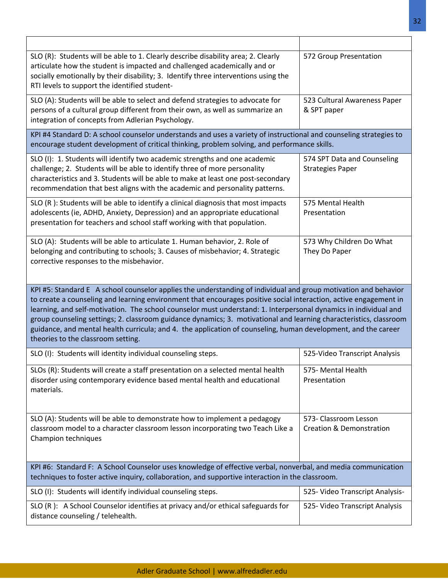| SLO (R): Students will be able to 1. Clearly describe disability area; 2. Clearly<br>articulate how the student is impacted and challenged academically and or<br>socially emotionally by their disability; 3. Identify three interventions using the<br>RTI levels to support the identified student-                                                                                                                                                                                                                                                                                                                                 | 572 Group Presentation                                       |  |  |  |  |  |
|----------------------------------------------------------------------------------------------------------------------------------------------------------------------------------------------------------------------------------------------------------------------------------------------------------------------------------------------------------------------------------------------------------------------------------------------------------------------------------------------------------------------------------------------------------------------------------------------------------------------------------------|--------------------------------------------------------------|--|--|--|--|--|
| SLO (A): Students will be able to select and defend strategies to advocate for<br>persons of a cultural group different from their own, as well as summarize an<br>integration of concepts from Adlerian Psychology.                                                                                                                                                                                                                                                                                                                                                                                                                   | 523 Cultural Awareness Paper<br>& SPT paper                  |  |  |  |  |  |
| KPI #4 Standard D: A school counselor understands and uses a variety of instructional and counseling strategies to<br>encourage student development of critical thinking, problem solving, and performance skills.                                                                                                                                                                                                                                                                                                                                                                                                                     |                                                              |  |  |  |  |  |
| SLO (I): 1. Students will identify two academic strengths and one academic<br>challenge; 2. Students will be able to identify three of more personality<br>characteristics and 3. Students will be able to make at least one post-secondary<br>recommendation that best aligns with the academic and personality patterns.                                                                                                                                                                                                                                                                                                             | 574 SPT Data and Counseling<br><b>Strategies Paper</b>       |  |  |  |  |  |
| SLO (R): Students will be able to identify a clinical diagnosis that most impacts<br>adolescents (ie, ADHD, Anxiety, Depression) and an appropriate educational<br>presentation for teachers and school staff working with that population.                                                                                                                                                                                                                                                                                                                                                                                            | 575 Mental Health<br>Presentation                            |  |  |  |  |  |
| SLO (A): Students will be able to articulate 1. Human behavior, 2. Role of<br>belonging and contributing to schools; 3. Causes of misbehavior; 4. Strategic<br>corrective responses to the misbehavior.                                                                                                                                                                                                                                                                                                                                                                                                                                | 573 Why Children Do What<br>They Do Paper                    |  |  |  |  |  |
| KPI #5: Standard E A school counselor applies the understanding of individual and group motivation and behavior<br>to create a counseling and learning environment that encourages positive social interaction, active engagement in<br>learning, and self-motivation. The school counselor must understand: 1. Interpersonal dynamics in individual and<br>group counseling settings; 2. classroom guidance dynamics; 3. motivational and learning characteristics, classroom<br>guidance, and mental health curricula; and 4. the application of counseling, human development, and the career<br>theories to the classroom setting. |                                                              |  |  |  |  |  |
| SLO (I): Students will identity individual counseling steps.                                                                                                                                                                                                                                                                                                                                                                                                                                                                                                                                                                           | 525-Video Transcript Analysis                                |  |  |  |  |  |
| SLOs (R): Students will create a staff presentation on a selected mental health<br>disorder using contemporary evidence based mental health and educational<br>materials.                                                                                                                                                                                                                                                                                                                                                                                                                                                              | 575- Mental Health<br>Presentation                           |  |  |  |  |  |
| SLO (A): Students will be able to demonstrate how to implement a pedagogy<br>classroom model to a character classroom lesson incorporating two Teach Like a<br>Champion techniques                                                                                                                                                                                                                                                                                                                                                                                                                                                     | 573- Classroom Lesson<br><b>Creation &amp; Demonstration</b> |  |  |  |  |  |
| KPI #6: Standard F: A School Counselor uses knowledge of effective verbal, nonverbal, and media communication<br>techniques to foster active inquiry, collaboration, and supportive interaction in the classroom.                                                                                                                                                                                                                                                                                                                                                                                                                      |                                                              |  |  |  |  |  |
|                                                                                                                                                                                                                                                                                                                                                                                                                                                                                                                                                                                                                                        |                                                              |  |  |  |  |  |
| SLO (I): Students will identify individual counseling steps.                                                                                                                                                                                                                                                                                                                                                                                                                                                                                                                                                                           | 525- Video Transcript Analysis-                              |  |  |  |  |  |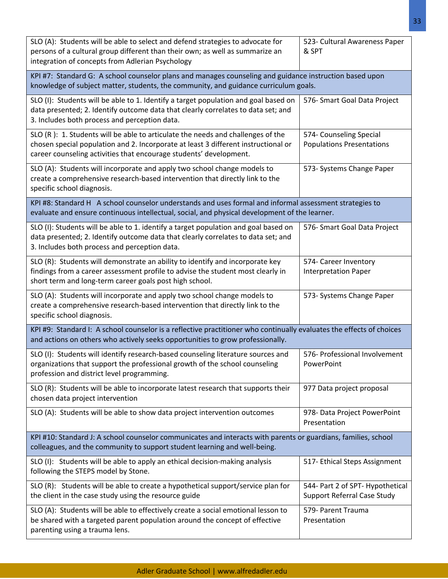| SLO (A): Students will be able to select and defend strategies to advocate for<br>persons of a cultural group different than their own; as well as summarize an<br>integration of concepts from Adlerian Psychology                         | 523- Cultural Awareness Paper<br>& SPT                                 |  |  |  |  |  |  |
|---------------------------------------------------------------------------------------------------------------------------------------------------------------------------------------------------------------------------------------------|------------------------------------------------------------------------|--|--|--|--|--|--|
| KPI #7: Standard G: A school counselor plans and manages counseling and guidance instruction based upon<br>knowledge of subject matter, students, the community, and guidance curriculum goals.                                             |                                                                        |  |  |  |  |  |  |
| SLO (I): Students will be able to 1. Identify a target population and goal based on<br>data presented; 2. Identify outcome data that clearly correlates to data set; and<br>3. Includes both process and perception data.                   | 576- Smart Goal Data Project                                           |  |  |  |  |  |  |
| SLO (R): 1. Students will be able to articulate the needs and challenges of the<br>chosen special population and 2. Incorporate at least 3 different instructional or<br>career counseling activities that encourage students' development. | 574- Counseling Special<br><b>Populations Presentations</b>            |  |  |  |  |  |  |
| SLO (A): Students will incorporate and apply two school change models to<br>create a comprehensive research-based intervention that directly link to the<br>specific school diagnosis.                                                      | 573- Systems Change Paper                                              |  |  |  |  |  |  |
| KPI #8: Standard H A school counselor understands and uses formal and informal assessment strategies to<br>evaluate and ensure continuous intellectual, social, and physical development of the learner.                                    |                                                                        |  |  |  |  |  |  |
| SLO (I): Students will be able to 1. identify a target population and goal based on<br>data presented; 2. Identify outcome data that clearly correlates to data set; and<br>3. Includes both process and perception data.                   | 576- Smart Goal Data Project                                           |  |  |  |  |  |  |
| SLO (R): Students will demonstrate an ability to identify and incorporate key<br>findings from a career assessment profile to advise the student most clearly in<br>short term and long-term career goals post high school.                 | 574- Career Inventory<br><b>Interpretation Paper</b>                   |  |  |  |  |  |  |
| SLO (A): Students will incorporate and apply two school change models to<br>create a comprehensive research-based intervention that directly link to the<br>specific school diagnosis.                                                      | 573- Systems Change Paper                                              |  |  |  |  |  |  |
| KPI #9: Standard I: A school counselor is a reflective practitioner who continually evaluates the effects of choices<br>and actions on others who actively seeks opportunities to grow professionally.                                      |                                                                        |  |  |  |  |  |  |
| SLO (I): Students will identify research-based counseling literature sources and<br>organizations that support the professional growth of the school counseling<br>profession and district level programming.                               | 576- Professional Involvement<br>PowerPoint                            |  |  |  |  |  |  |
| SLO (R): Students will be able to incorporate latest research that supports their<br>chosen data project intervention                                                                                                                       | 977 Data project proposal                                              |  |  |  |  |  |  |
| SLO (A): Students will be able to show data project intervention outcomes                                                                                                                                                                   | 978- Data Project PowerPoint<br>Presentation                           |  |  |  |  |  |  |
| KPI #10: Standard J: A school counselor communicates and interacts with parents or guardians, families, school<br>colleagues, and the community to support student learning and well-being.                                                 |                                                                        |  |  |  |  |  |  |
| SLO (I): Students will be able to apply an ethical decision-making analysis<br>following the STEPS model by Stone.                                                                                                                          | 517- Ethical Steps Assignment                                          |  |  |  |  |  |  |
| SLO (R): Students will be able to create a hypothetical support/service plan for<br>the client in the case study using the resource guide                                                                                                   | 544- Part 2 of SPT- Hypothetical<br><b>Support Referral Case Study</b> |  |  |  |  |  |  |
| SLO (A): Students will be able to effectively create a social emotional lesson to<br>be shared with a targeted parent population around the concept of effective<br>parenting using a trauma lens.                                          | 579- Parent Trauma<br>Presentation                                     |  |  |  |  |  |  |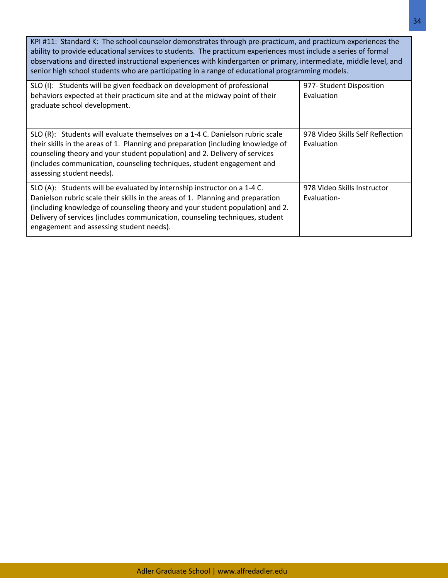KPI #11: Standard K: The school counselor demonstrates through pre-practicum, and practicum experiences the ability to provide educational services to students. The practicum experiences must include a series of formal observations and directed instructional experiences with kindergarten or primary, intermediate, middle level, and senior high school students who are participating in a range of educational programming models.

| SLO (I): Students will be given feedback on development of professional<br>behaviors expected at their practicum site and at the midway point of their<br>graduate school development.                                                                                                                                                                                   | 977- Student Disposition<br>Evaluation         |
|--------------------------------------------------------------------------------------------------------------------------------------------------------------------------------------------------------------------------------------------------------------------------------------------------------------------------------------------------------------------------|------------------------------------------------|
| SLO (R): Students will evaluate themselves on a 1-4 C. Danielson rubric scale<br>their skills in the areas of 1. Planning and preparation (including knowledge of<br>counseling theory and your student population) and 2. Delivery of services<br>(includes communication, counseling techniques, student engagement and<br>assessing student needs).                   | 978 Video Skills Self Reflection<br>Evaluation |
| SLO (A): Students will be evaluated by internship instructor on a 1-4 C.<br>Danielson rubric scale their skills in the areas of 1. Planning and preparation<br>(including knowledge of counseling theory and your student population) and 2.<br>Delivery of services (includes communication, counseling techniques, student<br>engagement and assessing student needs). | 978 Video Skills Instructor<br>Evaluation-     |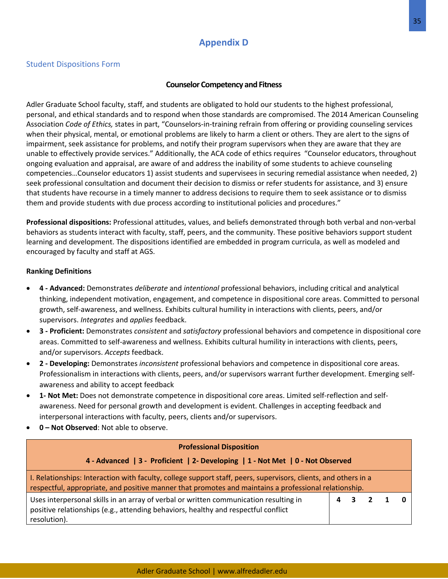# **Appendix D**

## Student Dispositions Form

## **Counselor Competency and Fitness**

Adler Graduate School faculty, staff, and students are obligated to hold our students to the highest professional, personal, and ethical standards and to respond when those standards are compromised. The 2014 American Counseling Association *Code of Ethics,* states in part, "Counselors-in-training refrain from offering or providing counseling services when their physical, mental, or emotional problems are likely to harm a client or others. They are alert to the signs of impairment, seek assistance for problems, and notify their program supervisors when they are aware that they are unable to effectively provide services." Additionally, the ACA code of ethics requires "Counselor educators, throughout ongoing evaluation and appraisal, are aware of and address the inability of some students to achieve counseling competencies…Counselor educators 1) assist students and supervisees in securing remedial assistance when needed, 2) seek professional consultation and document their decision to dismiss or refer students for assistance, and 3) ensure that students have recourse in a timely manner to address decisions to require them to seek assistance or to dismiss them and provide students with due process according to institutional policies and procedures."

**Professional dispositions:** Professional attitudes, values, and beliefs demonstrated through both verbal and non-verbal behaviors as students interact with faculty, staff, peers, and the community. These positive behaviors support student learning and development. The dispositions identified are embedded in program curricula, as well as modeled and encouraged by faculty and staff at AGS.

## **Ranking Definitions**

- **4 - Advanced:** Demonstrates *deliberate* and *intentional* professional behaviors, including critical and analytical thinking, independent motivation, engagement, and competence in dispositional core areas. Committed to personal growth, self-awareness, and wellness. Exhibits cultural humility in interactions with clients, peers, and/or supervisors. *Integrates* and *applies* feedback.
- **3 - Proficient:** Demonstrates *consistent* and *satisfactory* professional behaviors and competence in dispositional core areas. Committed to self-awareness and wellness. Exhibits cultural humility in interactions with clients, peers, and/or supervisors. *Accepts* feedback.
- **2 - Developing:** Demonstrates *inconsistent* professional behaviors and competence in dispositional core areas. Professionalism in interactions with clients, peers, and/or supervisors warrant further development. Emerging selfawareness and ability to accept feedback
- **1- Not Met:** Does not demonstrate competence in dispositional core areas. Limited self-reflection and selfawareness. Need for personal growth and development is evident. Challenges in accepting feedback and interpersonal interactions with faculty, peers, clients and/or supervisors.
- **0 – Not Observed**: Not able to observe.

| <b>Professional Disposition</b>                                                                                                                                                                                          |   |  |  |  |  |
|--------------------------------------------------------------------------------------------------------------------------------------------------------------------------------------------------------------------------|---|--|--|--|--|
| 4 - Advanced   3 - Proficient   2- Developing   1 - Not Met   0 - Not Observed                                                                                                                                           |   |  |  |  |  |
| I. Relationships: Interaction with faculty, college support staff, peers, supervisors, clients, and others in a<br>respectful, appropriate, and positive manner that promotes and maintains a professional relationship. |   |  |  |  |  |
| Uses interpersonal skills in an array of verbal or written communication resulting in<br>positive relationships (e.g., attending behaviors, healthy and respectful conflict<br>resolution).                              | 4 |  |  |  |  |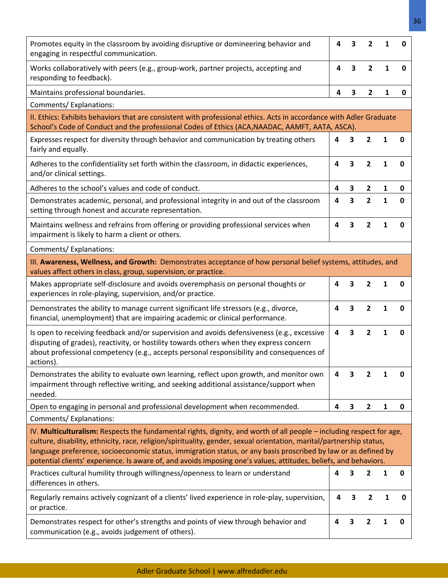| Promotes equity in the classroom by avoiding disruptive or domineering behavior and<br>engaging in respectful communication.                                                                                                                                                                                                                                                                                                                                                       | 4 | 3 | $\overline{2}$ | 1            | U           |
|------------------------------------------------------------------------------------------------------------------------------------------------------------------------------------------------------------------------------------------------------------------------------------------------------------------------------------------------------------------------------------------------------------------------------------------------------------------------------------|---|---|----------------|--------------|-------------|
| Works collaboratively with peers (e.g., group-work, partner projects, accepting and<br>responding to feedback).                                                                                                                                                                                                                                                                                                                                                                    | 4 | 3 | $\overline{2}$ | 1            | 0           |
| Maintains professional boundaries.                                                                                                                                                                                                                                                                                                                                                                                                                                                 | 4 | 3 | $\overline{2}$ | 1            | 0           |
| Comments/Explanations:                                                                                                                                                                                                                                                                                                                                                                                                                                                             |   |   |                |              |             |
| II. Ethics: Exhibits behaviors that are consistent with professional ethics. Acts in accordance with Adler Graduate<br>School's Code of Conduct and the professional Codes of Ethics (ACA, NAADAC, AAMFT, AATA, ASCA).                                                                                                                                                                                                                                                             |   |   |                |              |             |
| Expresses respect for diversity through behavior and communication by treating others<br>fairly and equally.                                                                                                                                                                                                                                                                                                                                                                       | 4 | 3 | 2              | 1            | $\mathbf 0$ |
| Adheres to the confidentiality set forth within the classroom, in didactic experiences,<br>and/or clinical settings.                                                                                                                                                                                                                                                                                                                                                               | 4 | 3 | 2              | 1            | 0           |
| Adheres to the school's values and code of conduct.                                                                                                                                                                                                                                                                                                                                                                                                                                | 4 | 3 | 2              | 1            | 0           |
| Demonstrates academic, personal, and professional integrity in and out of the classroom<br>setting through honest and accurate representation.                                                                                                                                                                                                                                                                                                                                     | 4 | 3 | $\overline{2}$ | $\mathbf{1}$ | $\mathbf 0$ |
| Maintains wellness and refrains from offering or providing professional services when<br>impairment is likely to harm a client or others.                                                                                                                                                                                                                                                                                                                                          | 4 | 3 | $\overline{2}$ | 1            | 0           |
| Comments/Explanations:                                                                                                                                                                                                                                                                                                                                                                                                                                                             |   |   |                |              |             |
| III. Awareness, Wellness, and Growth: Demonstrates acceptance of how personal belief systems, attitudes, and<br>values affect others in class, group, supervision, or practice.                                                                                                                                                                                                                                                                                                    |   |   |                |              |             |
| Makes appropriate self-disclosure and avoids overemphasis on personal thoughts or<br>experiences in role-playing, supervision, and/or practice.                                                                                                                                                                                                                                                                                                                                    | 4 | 3 | $\mathbf{2}$   | 1            | 0           |
| Demonstrates the ability to manage current significant life stressors (e.g., divorce,<br>financial, unemployment) that are impairing academic or clinical performance.                                                                                                                                                                                                                                                                                                             | 4 | 3 | $\overline{2}$ | $\mathbf{1}$ | 0           |
| Is open to receiving feedback and/or supervision and avoids defensiveness (e.g., excessive<br>disputing of grades), reactivity, or hostility towards others when they express concern<br>about professional competency (e.g., accepts personal responsibility and consequences of<br>actions).                                                                                                                                                                                     | 4 | 3 | $\mathbf{2}$   | $\mathbf{1}$ | 0           |
| Demonstrates the ability to evaluate own learning, reflect upon growth, and monitor own<br>impairment through reflective writing, and seeking additional assistance/support when<br>needed.                                                                                                                                                                                                                                                                                        | 4 | 3 | 2              | 1            | 0           |
| Open to engaging in personal and professional development when recommended.                                                                                                                                                                                                                                                                                                                                                                                                        | 4 | 3 | $\overline{2}$ | 1            | $\pmb{0}$   |
| Comments/Explanations:                                                                                                                                                                                                                                                                                                                                                                                                                                                             |   |   |                |              |             |
| IV. Multiculturalism: Respects the fundamental rights, dignity, and worth of all people - including respect for age,<br>culture, disability, ethnicity, race, religion/spirituality, gender, sexual orientation, marital/partnership status,<br>language preference, socioeconomic status, immigration status, or any basis proscribed by law or as defined by<br>potential clients' experience. Is aware of, and avoids imposing one's values, attitudes, beliefs, and behaviors. |   |   |                |              |             |
| Practices cultural humility through willingness/openness to learn or understand<br>differences in others.                                                                                                                                                                                                                                                                                                                                                                          | 4 | 3 | 2              | 1            | 0           |
| Regularly remains actively cognizant of a clients' lived experience in role-play, supervision,<br>or practice.                                                                                                                                                                                                                                                                                                                                                                     | 4 | 3 | 2              | 1            | 0           |
| Demonstrates respect for other's strengths and points of view through behavior and<br>communication (e.g., avoids judgement of others).                                                                                                                                                                                                                                                                                                                                            | 4 | 3 | 2              | 1            | 0           |